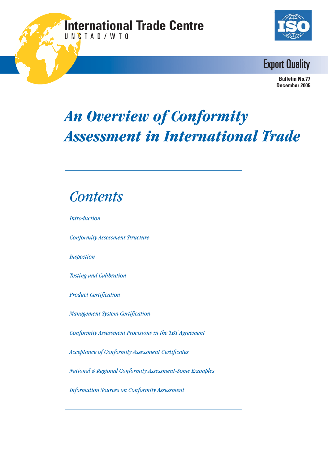### **International Trade Centre** U N C T A D / W T O





 **Bulletin No.77 December 2005**

# *An Overview of Conformity Assessment in International Trade*

# *Contents*

*Introduction*

*Conformity Assessment Structure*

*Inspection*

*Testing and Calibration*

**Product Certification** 

*Management System Certification* 

*Conformity Assessment Provisions in the TBT Agreement*

Acceptance of Conformity Assessment Certificates

*National & Regional Conformity Assessment-Some Examples*

*Information Sources on Conformity Assessment*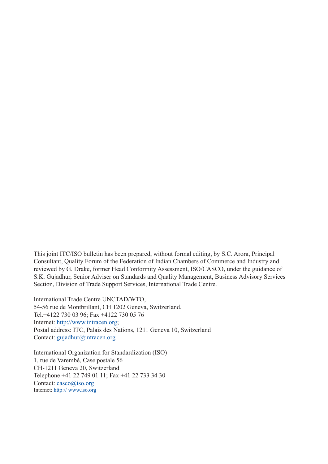This joint ITC/ISO bulletin has been prepared, without formal editing, by S.C. Arora, Principal Consultant, Quality Forum of the Federation of Indian Chambers of Commerce and Industry and reviewed by G. Drake, former Head Conformity Assessment, ISO/CASCO, under the guidance of S.K. Gujadhur, Senior Adviser on Standards and Quality Management, Business Advisory Services Section, Division of Trade Support Services, International Trade Centre.

International Trade Centre UNCTAD/WTO, 54-56 rue de Montbrillant, CH 1202 Geneva, Switzerland. Tel.+4122 730 03 96; Fax +4122 730 05 76 Internet: http://www.intracen.org; Postal address: ITC, Palais des Nations, 1211 Geneva 10, Switzerland Contact: gujadhur@intracen.org

International Organization for Standardization (ISO) 1, rue de Varembé, Case postale 56 CH-1211 Geneva 20, Switzerland Telephone +41 22 749 01 11; Fax +41 22 733 34 30 Contact: casco@iso.org Internet: http:// www.iso.org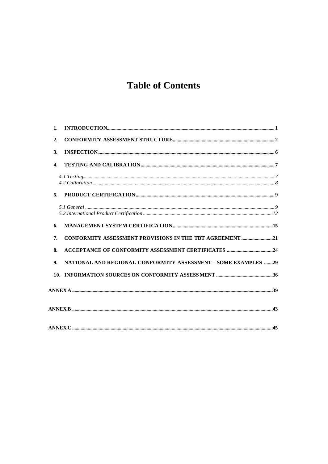# **Table of Contents**

| 1.               |                                                                |  |
|------------------|----------------------------------------------------------------|--|
| 2.               |                                                                |  |
| 3.               | $\bf INSPECTION. \label{thm:1} {\bf IN SPECTION.}$             |  |
| $\overline{4}$ . |                                                                |  |
|                  |                                                                |  |
| 5 <sub>1</sub>   |                                                                |  |
|                  |                                                                |  |
| 6.               |                                                                |  |
| 7.               | CONFORMITY ASSESSMENT PROVISIONS IN THE TBT AGREEMENT 21       |  |
| 8.               |                                                                |  |
| 9.               | NATIONAL AND REGIONAL CONFORMITY ASSESSMENT - SOME EXAMPLES 29 |  |
|                  |                                                                |  |
|                  |                                                                |  |
|                  |                                                                |  |
|                  |                                                                |  |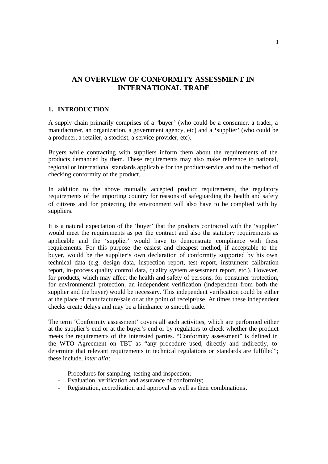### **AN OVERVIEW OF CONFORMITY ASSESSMENT IN INTERNATIONAL TRADE**

#### **1. INTRODUCTION**

A supply chain primarily comprises of a **'**buyer**'** (who could be a consumer, a trader, a manufacturer, an organization, a government agency, etc) and a **'**supplier**'** (who could be a producer, a retailer, a stockist, a service provider, etc).

Buyers while contracting with suppliers inform them about the requirements of the products demanded by them. These requirements may also make reference to national, regional or international standards applicable for the product/service and to the method of checking conformity of the product.

In addition to the above mutually accepted product requirements, the regulatory requirements of the importing country for reasons of safeguarding the health and safety of citizens and for protecting the environment will also have to be complied with by suppliers.

It is a natural expectation of the 'buyer' that the products contracted with the 'supplier' would meet the requirements as per the contract and also the statutory requirements as applicable and the 'supplier' would have to demonstrate compliance with these requirements. For this purpose the easiest and cheapest method, if acceptable to the buyer, would be the supplier's own declaration of conformity supported by his own technical data (e.g. design data, inspection report, test report, instrument calibration report, in-process quality control data, quality system assessment report, etc.). However, for products, which may affect the health and safety of persons, for consumer protection, for environmental protection, an independent verification (independent from both the supplier and the buyer) would be necessary. This independent verification could be either at the place of manufacture/sale or at the point of receipt/use. At times these independent checks create delays and may be a hindrance to smooth trade.

The term 'Conformity assessment' covers all such activities, which are performed either at the supplier's end or at the buyer's end or by regulators to check whether the product meets the requirements of the interested parties. "Conformity assessment" is defined in the WTO Agreement on TBT as "any procedure used, directly and indirectly, to determine that relevant requirements in technical regulations or standards are fulfilled"; these include, *inter alia*:

- Procedures for sampling, testing and inspection;
- Evaluation, verification and assurance of conformity;
- Registration, accreditation and approval as well as their combinations**.**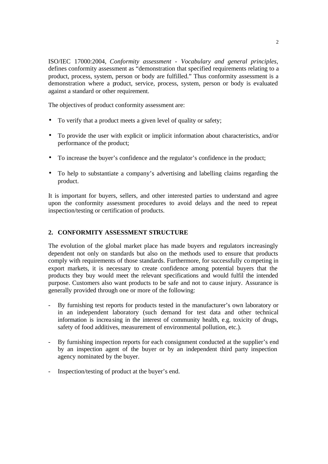ISO/IEC 17000:2004, *Conformity assessment - Vocabulary and general principles,* defines conformity assessment as "demonstration that specified requirements relating to a product, process, system, person or body are fulfilled." Thus conformity assessment is a demonstration where a product, service, process, system, person or body is evaluated against a standard or other requirement.

The objectives of product conformity assessment are:

- To verify that a product meets a given level of quality or safety;
- To provide the user with explicit or implicit information about characteristics, and/or performance of the product;
- To increase the buyer's confidence and the regulator's confidence in the product;
- To help to substantiate a company's advertising and labelling claims regarding the product.

It is important for buyers, sellers, and other interested parties to understand and agree upon the conformity assessment procedures to avoid delays and the need to repeat inspection/testing or certification of products.

#### **2. CONFORMITY ASSESSMENT STRUCTURE**

The evolution of the global market place has made buyers and regulators increasingly dependent not only on standards but also on the methods used to ensure that products comply with requirements of those standards. Furthermore, for successfully competing in export markets, it is necessary to create confidence among potential buyers that the products they buy would meet the relevant specifications and would fulfil the intended purpose. Customers also want products to be safe and not to cause injury. Assurance is generally provided through one or more of the following:

- By furnishing test reports for products tested in the manufacturer's own laboratory or in an independent laboratory (such demand for test data and other technical information is increasing in the interest of community health, e.g. toxicity of drugs, safety of food additives, measurement of environmental pollution, etc.).
- By furnishing inspection reports for each consignment conducted at the supplier's end by an inspection agent of the buyer or by an independent third party inspection agency nominated by the buyer.
- Inspection/testing of product at the buyer's end.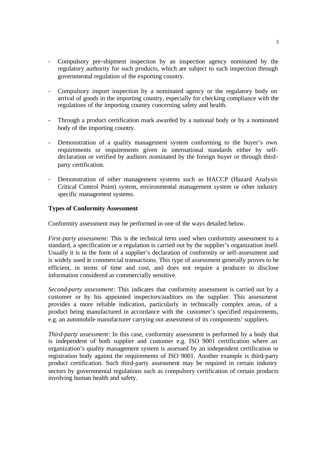- Compulsory pre-shipment inspection by an inspection agency nominated by the regulatory authority for such products, which are subject to such inspection through governmental regulation of the exporting country.
- Compulsory import inspection by a nominated agency or the regulatory body on arrival of goods in the importing country, especially for checking compliance with the regulations of the importing country concerning safety and health.
- Through a product certification mark awarded by a national body or by a nominated body of the importing country.
- Demonstration of a quality management system conforming to the buyer's own requirements or requirements given in international standards either by selfdeclaration or verified by auditors nominated by the foreign buyer or through thirdparty certification.
- Demonstration of other management systems such as HACCP (Hazard Analysis Critical Control Point) system, environmental management system or other industry specific management systems.

#### **Types of Conformity Assessment**

Conformity assessment may be performed in one of the ways detailed below.

*First-party assessment:* This is the technical term used when conformity assessment to a standard, a specification or a regulation is carried out by the supplier's organization itself. Usually it is in the form of a supplier's declaration of conformity or self-assessment and is widely used in commercial transactions. This type of assessment generally proves to be efficient, in terms of time and cost, and does not require a producer to disclose information considered as commercially sensitive.

*Second-party assessment*: This indicates that conformity assessment is carried out by a customer or by his appointed inspectors/auditors on the supplier. This assessment provides a more reliable indication, particularly in technically complex areas, of a product being manufactured in accordance with the customer's specified requirements, e.g. an automobile manufacturer carrying out assessment of its components' suppliers.

*Third-party assessment*: In this case, conformity assessment is performed by a body that is independent of both supplier and customer e.g. ISO 9001 certification where an organization's quality management system is assessed by an independent certification or registration body against the requirements of ISO 9001. Another example is third-party product certification. Such third-party assessment may be required in certain industry sectors by governmental regulations such as compulsory certification of certain products involving human health and safety.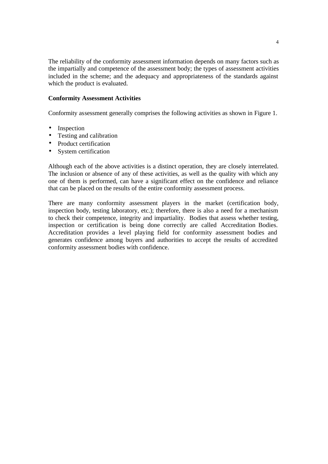The reliability of the conformity assessment information depends on many factors such as the impartially and competence of the assessment body; the types of assessment activities included in the scheme; and the adequacy and appropriateness of the standards against which the product is evaluated.

#### **Conformity Assessment Activities**

Conformity assessment generally comprises the following activities as shown in Figure 1.

- Inspection
- Testing and calibration
- Product certification
- System certification

Although each of the above activities is a distinct operation, they are closely interrelated. The inclusion or absence of any of these activities, as well as the quality with which any one of them is performed, can have a significant effect on the confidence and reliance that can be placed on the results of the entire conformity assessment process.

There are many conformity assessment players in the market (certification body, inspection body, testing laboratory, etc.); therefore, there is also a need for a mechanism to check their competence, integrity and impartiality. Bodies that assess whether testing, inspection or certification is being done correctly are called Accreditation Bodies. Accreditation provides a level playing field for conformity assessment bodies and generates confidence among buyers and authorities to accept the results of accredited conformity assessment bodies with confidence.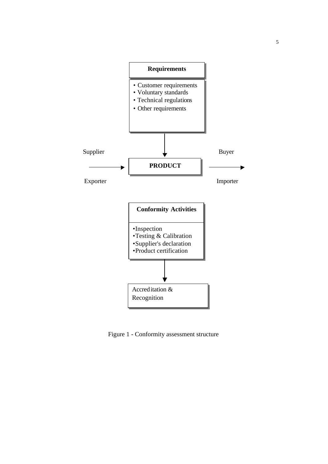

Figure 1 - Conformity assessment structure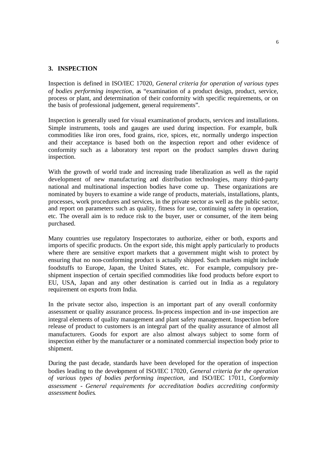#### **3. INSPECTION**

Inspection is defined in ISO/IEC 17020, *General criteria for operation of various types of bodies performing inspection*, as "examination of a product design, product, service, process or plant, and determination of their conformity with specific requirements, or on the basis of professional judgement, general requirements".

Inspection is generally used for visual examination of products, services and installations. Simple instruments, tools and gauges are used during inspection. For example, bulk commodities like iron ores, food grains, rice, spices, etc, normally undergo inspection and their acceptance is based both on the inspection report and other evidence of conformity such as a laboratory test report on the product samples drawn during inspection.

With the growth of world trade and increasing trade liberalization as well as the rapid development of new manufacturing and distribution technologies, many third-party national and multinational inspection bodies have come up. These organizations are nominated by buyers to examine a wide range of products, materials, installations, plants, processes, work procedures and services, in the private sector as well as the public sector, and report on parameters such as quality, fitness for use, continuing safety in operation, etc. The overall aim is to reduce risk to the buyer, user or consumer, of the item being purchased.

Many countries use regulatory Inspectorates to authorize, either or both, exports and imports of specific products. On the export side, this might apply particularly to products where there are sensitive export markets that a government might wish to protect by ensuring that no non-conforming product is actually shipped. Such markets might include foodstuffs to Europe, Japan, the United States, etc. For example, compulsory preshipment inspection of certain specified commodities like food products before export to EU, USA, Japan and any other destination is carried out in India as a regulatory requirement on exports from India.

In the private sector also, inspection is an important part of any overall conformity assessment or quality assurance process. In-process inspection and in-use inspection are integral elements of quality management and plant safety management. Inspection before release of product to customers is an integral part of the quality assurance of almost all manufacturers. Goods for export are also almost always subject to some form of inspection either by the manufacturer or a nominated commercial inspection body prior to shipment.

During the past decade, standards have been developed for the operation of inspection bodies leading to the development of ISO/IEC 17020*, General criteria for the operation of various types of bodies performing inspection,* and ISO/IEC 17011, *Conformity assessment - General requirements for accreditation bodies accrediting conformity assessment bodies.*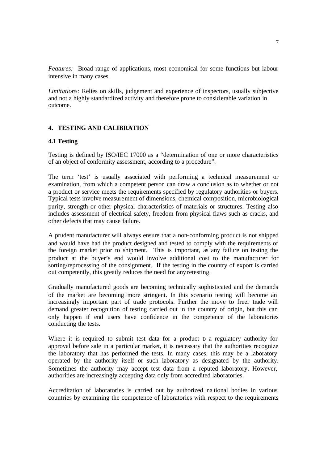*Features:* Broad range of applications, most economical for some functions but labour intensive in many cases.

*Limitations:* Relies on skills, judgement and experience of inspectors, usually subjective and not a highly standardized activity and therefore prone to considerable variation in outcome.

#### **4. TESTING AND CALIBRATION**

#### **4.1 Testing**

Testing is defined by ISO/IEC 17000 as a "determination of one or more characteristics of an object of conformity assessment, according to a procedure".

The term 'test' is usually associated with performing a technical measurement or examination, from which a competent person can draw a conclusion as to whether or not a product or service meets the requirements specified by regulatory authorities or buyers. Typical tests involve measurement of dimensions, chemical composition, microbiological purity, strength or other physical characteristics of materials or structures. Testing also includes assessment of electrical safety, freedom from physical flaws such as cracks, and other defects that may cause failure.

A prudent manufacturer will always ensure that a non-conforming product is not shipped and would have had the product designed and tested to comply with the requirements of the foreign market prior to shipment. This is important, as any failure on testing the product at the buyer's end would involve additional cost to the manufacturer for sorting/reprocessing of the consignment. If the testing in the country of export is carried out competently, this greatly reduces the need for any retesting.

Gradually manufactured goods are becoming technically sophisticated and the demands of the market are becoming more stringent. In this scenario testing will become an increasingly important part of trade protocols. Further the move to freer trade will demand greater recognition of testing carried out in the country of origin, but this can only happen if end users have confidence in the competence of the laboratories conducting the tests.

Where it is required to submit test data for a product b a regulatory authority for approval before sale in a particular market, it is necessary that the authorities recognize the laboratory that has performed the tests. In many cases, this may be a laboratory operated by the authority itself or such laboratory as designated by the authority. Sometimes the authority may accept test data from a reputed laboratory. However, authorities are increasingly accepting data only from accredited laboratories.

Accreditation of laboratories is carried out by authorized na tional bodies in various countries by examining the competence of laboratories with respect to the requirements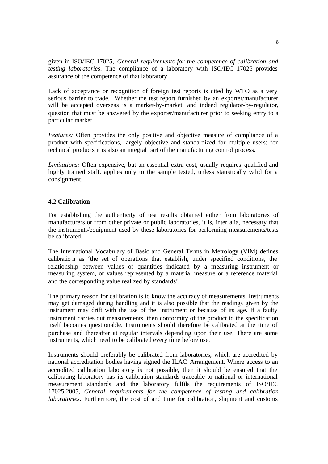given in ISO/IEC 17025, *General requirements for the competence of calibration and testing laboratories*. The compliance of a laboratory with ISO/IEC 17025 provides assurance of the competence of that laboratory.

Lack of acceptance or recognition of foreign test reports is cited by WTO as a very serious barrier to trade. Whether the test report furnished by an exporter/manufacturer will be accepted overseas is a market-by-market, and indeed regulator-by-regulator, question that must be answered by the exporter/manufacturer prior to seeking entry to a particular market.

*Features:* Often provides the only positive and objective measure of compliance of a product with specifications, largely objective and standardized for multiple users; for technical products it is also an integral part of the manufacturing control process.

*Limitations:* Often expensive, but an essential extra cost, usually requires qualified and highly trained staff, applies only to the sample tested, unless statistically valid for a consignment.

#### **4.2 Calibration**

For establishing the authenticity of test results obtained either from laboratories of manufacturers or from other private or public laboratories, it is, inter alia, necessary that the instruments/equipment used by these laboratories for performing measurements/tests be calibrated.

The International Vocabulary of Basic and General Terms in Metrology (VIM) defines calibratio n as 'the set of operations that establish, under specified conditions, the relationship between values of quantities indicated by a measuring instrument or measuring system, or values represented by a material measure or a reference material and the corresponding value realized by standards'.

The primary reason for calibration is to know the accuracy of measurements. Instruments may get damaged during handling and it is also possible that the readings given by the instrument may drift with the use of the instrument or because of its age. If a faulty instrument carries out measurements, then conformity of the product to the specification itself becomes questionable. Instruments should therefore be calibrated at the time of purchase and thereafter at regular intervals depending upon their use. There are some instruments, which need to be calibrated every time before use.

Instruments should preferably be calibrated from laboratories, which are accredited by national accreditation bodies having signed the ILAC Arrangement. Where access to an accredited calibration laboratory is not possible, then it should be ensured that the calibrating laboratory has its calibration standards traceable to national or international measurement standards and the laboratory fulfils the requirements of ISO/IEC 17025:2005, *General requirements for the competence of testing and calibration laboratories*. Furthermore, the cost of and time for calibration, shipment and customs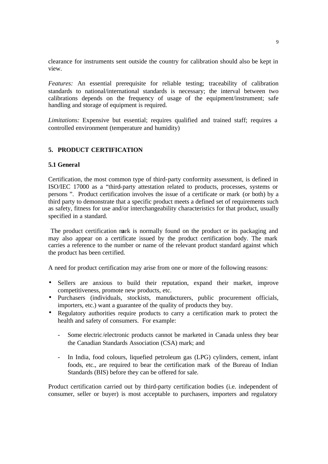clearance for instruments sent outside the country for calibration should also be kept in view.

*Features:* An essential prerequisite for reliable testing; traceability of calibration standards to national/international standards is necessary; the interval between two calibrations depends on the frequency of usage of the equipment/instrument; safe handling and storage of equipment is required.

*Limitations:* Expensive but essential; requires qualified and trained staff; requires a controlled environment (temperature and humidity)

#### **5. PRODUCT CERTIFICATION**

#### **5.1 General**

Certification, the most common type of third-party conformity assessment, is defined in ISO/IEC 17000 as a "third-party attestation related to products, processes, systems or persons ". Product certification involves the issue of a certificate or mark (or both) by a third party to demonstrate that a specific product meets a defined set of requirements such as safety, fitness for use and/or interchangeability characteristics for that product, usually specified in a standard.

 The product certification mark is normally found on the product or its packaging and may also appear on a certificate issued by the product certification body. The mark carries a reference to the number or name of the relevant product standard against which the product has been certified.

A need for product certification may arise from one or more of the following reasons:

- Sellers are anxious to build their reputation, expand their market, improve competitiveness, promote new products, etc.
- Purchasers (individuals, stockists, manufacturers, public procurement officials, importers, etc.) want a guarantee of the quality of products they buy.
- Regulatory authorities require products to carry a certification mark to protect the health and safety of consumers. For example:
	- Some electric /electronic products cannot be marketed in Canada unless they bear the Canadian Standards Association (CSA) mark; and
	- In India, food colours, liquefied petroleum gas (LPG) cylinders, cement, infant foods, etc., are required to bear the certification mark of the Bureau of Indian Standards (BIS) before they can be offered for sale.

Product certification carried out by third-party certification bodies (i.e. independent of consumer, seller or buyer) is most acceptable to purchasers, importers and regulatory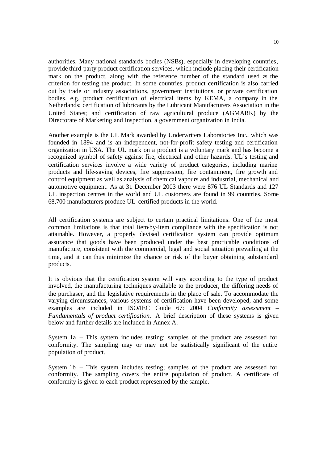authorities. Many national standards bodies (NSBs), especially in developing countries*,* provide third-party product certification services, which include placing their certification mark on the product, along with the reference number of the standard used as the criterion for testing the product. In some countries, product certification is also carried out by trade or industry associations, government institutions, or private certification bodies, e.g. product certification of electrical items by KEMA, a company in the Netherlands; certification of lubricants by the Lubricant Manufacturers Association in the United States; and certification of raw agricultural produce (AGMARK) by the Directorate of Marketing and Inspection, a government organization in India.

Another example is the UL Mark awarded by Underwriters Laboratories Inc., which was founded in 1894 and is an independent, not-for-profit safety testing and certification organization in USA. The UL mark on a product is a voluntary mark and has become a recognized symbol of safety against fire, electrical and other hazards. UL's testing and certification services involve a wide variety of product categories, including marine products and life-saving devices, fire suppression, fire containment, fire growth and control equipment as well as analysis of chemical vapours and industrial, mechanical and automotive equipment. As at 31 December 2003 there were 876 UL Standards and 127 UL inspection centres in the world and UL customers are found in 99 countries. Some 68,700 manufacturers produce UL-certified products in the world.

All certification systems are subject to certain practical limitations. One of the most common limitations is that total item-by-item compliance with the specification is not attainable. However, a properly devised certification system can provide optimum assurance that goods have been produced under the best practicable conditions of manufacture, consistent with the commercial, legal and social situation prevailing at the time, and it can thus minimize the chance or risk of the buyer obtaining substandard products.

It is obvious that the certification system will vary according to the type of product involved, the manufacturing techniques available to the producer, the differing needs of the purchaser, and the legislative requirements in the place of sale. To accommodate the varying circumstances, various systems of certification have been developed, and some examples are included in ISO/IEC Guide 67: 2004 *Conformity assessment – Fundamentals of product certification.* A brief description of these systems is given below and further details are included in Annex A.

System 1a – This system includes testing; samples of the product are assessed for conformity. The sampling may or may not be statistically significant of the entire population of product.

System 1b – This system includes testing; samples of the product are assessed for conformity. The sampling covers the entire population of product. A certificate of conformity is given to each product represented by the sample.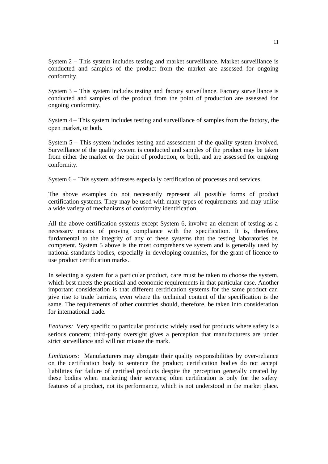System 2 – This system includes testing and market surveillance. Market surveillance is conducted and samples of the product from the market are assessed for ongoing conformity.

System 3 – This system includes testing and factory surveillance. Factory surveillance is conducted and samples of the product from the point of production are assessed for ongoing conformity.

System 4 – This system includes testing and surveillance of samples from the factory, the open market, or both.

System 5 – This system includes testing and assessment of the quality system involved. Surveillance of the quality system is conducted and samples of the product may be taken from either the market or the point of production, or both, and are assessed for ongoing conformity.

System 6 – This system addresses especially certification of processes and services.

The above examples do not necessarily represent all possible forms of product certification systems. They may be used with many types of requirements and may utilise a wide variety of mechanisms of conformity identification.

All the above certification systems except System 6, involve an element of testing as a necessary means of proving compliance with the specification. It is, therefore, fundamental to the integrity of any of these systems that the testing laboratories be competent. System 5 above is the most comprehensive system and is generally used by national standards bodies, especially in developing countries, for the grant of licence to use product certification marks.

In selecting a system for a particular product, care must be taken to choose the system, which best meets the practical and economic requirements in that particular case. Another important consideration is that different certification systems for the same product can give rise to trade barriers, even where the technical content of the specification is the same. The requirements of other countries should, therefore, be taken into consideration for international trade.

*Features:* Very specific to particular products; widely used for products where safety is a serious concern; third-party oversight gives a perception that manufacturers are under strict surveillance and will not misuse the mark.

*Limitations:* Manufacturers may abrogate their quality responsibilities by over-reliance on the certification body to sentence the product; certification bodies do not accept liabilities for failure of certified products despite the perception generally created by these bodies when marketing their services; often certification is only for the safety features of a product, not its performance, which is not understood in the market place.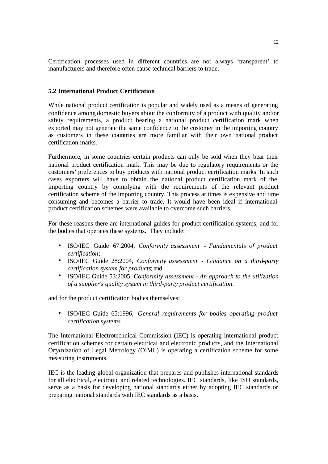Certification processes used in different countries are not always 'transparent' to manufacturers and therefore often cause technical barriers to trade.

#### **5.2 International Product Certification**

While national product certification is popular and widely used as a means of generating confidence among domestic buyers about the conformity of a product with quality and/or safety requirements, a product bearing a national product certification mark when exported may not generate the same confidence to the customer in the importing country as customers in these countries are more familiar with their own national product certification marks.

Furthermore, in some countries certain products can only be sold when they bear their national product certification mark. This may be due to regulatory requirements or the customers' preferences to buy products with national product certification marks. In such cases exporters will have to obtain the national product certification mark of the importing country by complying with the requirements of the relevant product certification scheme of the importing country. This process at times is expensive and time consuming and becomes a barrier to trade. It would have been ideal if international product certification schemes were available to overcome such barriers.

For these reasons there are international guides for product certification systems, and for the bodies that operates these systems. They include:

- ISO/IEC Guide 67:2004, *Conformity assessment Fundamentals of product certification*;
- ISO/IEC Guide 28:2004, *Conformity assessment Guidance on a third-party certification system for products*; and
- ISO/IEC Guide 53:2005, *Conformity assessment - An approach to the utilization of a supplier's quality system in third-party product certification*.

and for the product certification bodies themselves:

• ISO/IEC Guide 65:1996, *General requirements for bodies operating product certification systems*.

The International Electrotechnical Commission (IEC) is operating international product certification schemes for certain electrical and electronic products, and the International Orga nization of Legal Metrology (OIML) is operating a certification scheme for some measuring instruments.

IEC is the leading global organization that prepares and publishes international standards for all electrical, electronic and related technologies. IEC standards, like ISO standards, serve as a basis for developing national standards either by adopting IEC standards or preparing national standards with IEC standards as a basis.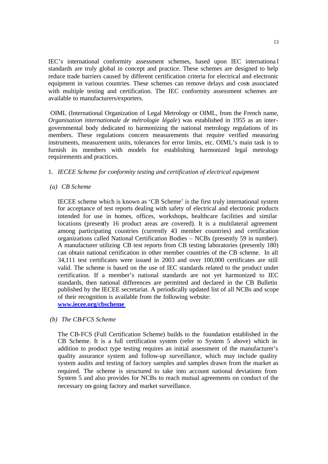IEC's international conformity assessment schemes, based upon IEC internationa l standards are truly global in concept and practice. These schemes are designed to help reduce trade barriers caused by different certification criteria for electrical and electronic equipment in various countries. These schemes can remove delays and costs associated with multiple testing and certification. The IEC conformity assessment schemes are available to manufacturers/exporters.

 OIML (International Organization of Legal Metrology or OIML, from the French name, *Organisation internationale de métrologie légale*) was established in 1955 as an intergovernmental body dedicated to harmonizing the national metrology regulations of its members. These regulations concern measurements that require verified measuring instruments, measurement units, tolerances for error limits, etc. OIML's main task is to furnish its members with models for establishing harmonized legal metrology requirements and practices.

#### 1. *IECEE Scheme for conformity testing and certification of electrical equipment*

*(a) CB Scheme*

IECEE scheme which is known as 'CB Scheme' is the first truly international system for acceptance of test reports dealing with safety of electrical and electronic products intended for use in homes, offices, workshops, healthcare facilities and similar locations (presently 16 product areas are covered). It is a multilateral agreement among participating countries (currently 43 member countries) and certification organizations called National Certification Bodies – NCBs (presently 59 in number). A manufacturer utilizing CB test reports from CB testing laboratories (presently 180) can obtain national certification in other member countries of the CB scheme. In all 34,111 test certificates were issued in 2003 and over 100,000 certificates are still valid. The scheme is based on the use of IEC standards related to the product under certification. If a member's national standards are not yet harmonized to IEC standards, then national differences are permitted and declared in the CB Bulletin published by the IECEE secretariat. A periodically updated list of all NCBs and scope of their recognition is available from the following website:

**www.iecee.org/cbscheme**

*(b) The CB-FCS Scheme*

The CB-FCS (Full Certification Scheme) builds to the foundation established in the CB Scheme. It is a full certification system (refer to System 5 above) which in addition to product type testing requires an initial assessment of the manufacturer's quality assurance system and follow-up surveillance, which may include quality system audits and testing of factory samples and samples drawn from the market as required. The scheme is structured to take into account national deviations from System 5 and also provides for NCBs to reach mutual agreements on conduct of the necessary on-going factory and market surveillance.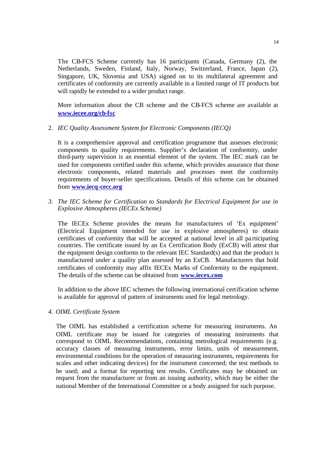The CB-FCS Scheme currently has 16 participants (Canada, Germany (2), the Netherlands, Sweden, Finland, Italy, Norway, Switzerland, France, Japan (2), Singapore, UK, Slovenia and USA) signed on to its multilateral agreement and certificates of conformity are currently available in a limited range of IT products but will rapidly be extended to a wider product range.

More information about the CB scheme and the CB-FCS scheme are available at **www.iecee.org/cb-fsc**

2. *IEC Quality Assessment System for Electronic Components (IECQ)*

It is a comprehensive approval and certification programme that assesses electronic components to quality requirements. Supplier's declaration of conformity, under third-party supervision is an essential element of the system. The IEC mark can be used for components certified under this scheme, which provides assurance that those electronic components, related materials and processes meet the conformity requirements of buyer-seller specifications. Details of this scheme can be obtained from **www.iecq-cecc.org**

*3. The IEC Scheme for Certification to Standards for Electrical Equipment for use in Explosive Atmospheres (IECEx Scheme)*

The IECEx Scheme provides the means for manufacturers of 'Ex equipment' (Electrical Equipment intended for use in explosive atmospheres) to obtain certificates of conformity that will be accepted at national level in all pa rticipating countries. The certificate issued by an Ex Certification Body (ExCB) will attest that the equipment design conforms to the relevant IEC Standard(s) and that the product is manufactured under a quality plan assessed by an ExCB. Manufacturers that hold certificates of conformity may affix IECEx Marks of Conformity to the equipment. The details of the scheme can be obtained from **www.iecex.com**

In addition to the above IEC schemes the following international certification scheme is available for approval of pattern of instruments used for legal metrology.

*4. OIML Certificate System*

The OIML has established a certification scheme for measuring instruments. An OIML certificate may be issued for categories of measuring instruments that correspond to OIML Recommendations, containing metrological requirements (e.g. accuracy classes of measuring instruments, error limits, units of measurement, environmental conditions for the operation of measuring instruments, requirements for scales and other indicating devices) for the instrument concerned; the test methods to be used; and a format for reporting test results. Certificates may be obtained on request from the manufacturer or from an issuing authority, which may be either the national Member of the International Committee or a body assigned for such purpose.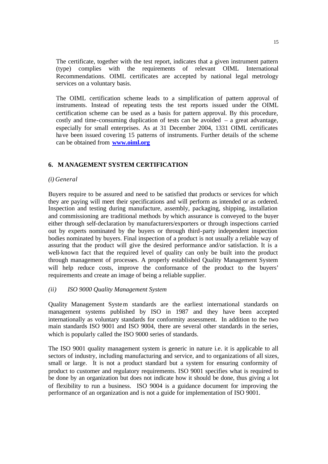The certificate, together with the test report, indicates that a given instrument pattern (type) complies with the requirements of relevant OIML International Recommendations. OIML certificates are accepted by national legal metrology services on a voluntary basis.

The OIML certification scheme leads to a simplification of pattern approval of instruments. Instead of repeating tests the test reports issued under the OIML certification scheme can be used as a basis for pattern approval. By this procedure, costly and time-consuming duplication of tests can be avoided – a great advantage, especially for small enterprises. As at 31 December 2004, 1331 OIML certificates have been issued covering 15 patterns of instruments. Further details of the scheme can be obtained from **www.oiml.org**

#### **6. MANAGEMENT SYSTEM CERTIFICATION**

#### *(i) General*

Buyers require to be assured and need to be satisfied that products or services for which they are paying will meet their specifications and will perform as intended or as ordered. Inspection and testing during manufacture, assembly, packaging, shipping, installation and commissioning are traditional methods by which assurance is conveyed to the buyer either through self-declaration by manufacturers/exporters or through inspections carried out by experts nominated by the buyers or through third-party independent inspection bodies nominated by buyers. Final inspection of a product is not usually a reliable way of assuring that the product will give the desired performance and/or satisfaction. It is a well-known fact that the required level of quality can only be built into the product through management of processes. A properly established Quality Management System will help reduce costs, improve the conformance of the product to the buyers' requirements and create an image of being a reliable supplier.

#### *(ii) ISO 9000 Quality Management System*

Quality Management System standards are the earliest international standards on management systems published by ISO in 1987 and they have been accepted internationally as voluntary standards for conformity assessment. In addition to the two main standards ISO 9001 and ISO 9004, there are several other standards in the series, which is popularly called the ISO 9000 series of standards.

The ISO 9001 quality management system is generic in nature i.e. it is applicable to all sectors of industry, including manufacturing and service, and to organizations of all sizes, small or large. It is not a product standard but a system for ensuring conformity of product to customer and regulatory requirements. ISO 9001 specifies what is required to be done by an organization but does not indicate how it should be done, thus giving a lot of flexibility to run a business. ISO 9004 is a guidance document for improving the performance of an organization and is not a guide for implementation of ISO 9001.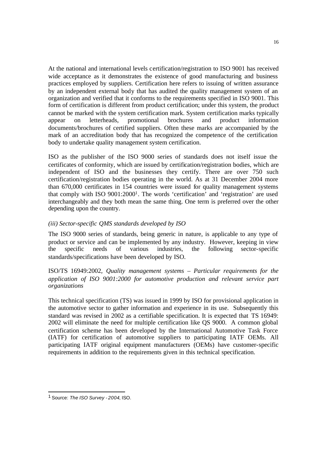At the national and international levels certification/registration to ISO 9001 has received wide acceptance as it demonstrates the existence of good manufacturing and business practices employed by suppliers. Certification here refers to issuing of written assurance by an independent external body that has audited the quality management system of an organization and verified that it conforms to the requirements specified in ISO 9001. This form of certification is different from product certification; under this system, the product cannot be marked with the system certification mark. System certification marks typically appear on letterheads, promotional brochures and product information documents/brochures of certified suppliers. Often these marks are accompanied by the mark of an accreditation body that has recognized the competence of the certification body to undertake quality management system certification.

ISO as the publisher of the ISO 9000 series of standards does not itself issue the certificates of conformity, which are issued by certification/registration bodies, which are independent of ISO and the businesses they certify. There are over 750 such certification/registration bodies operating in the world. As at 31 December 2004 more than 670,000 certificates in 154 countries were issued for quality management systems that comply with ISO 9001:2000<sup>1</sup> . The words 'certification' and 'registration' are used interchangeably and they both mean the same thing. One term is preferred over the other depending upon the country.

#### *(iii) Sector-specific QMS standards developed by ISO*

The ISO 9000 series of standards, being generic in nature, is applicable to any type of product or service and can be implemented by any industry. However, keeping in view the specific needs of various industries, the following sector-specific standards/specifications have been developed by ISO.

ISO/TS 16949:2002*, Quality management systems – Particular requirements for the application of ISO 9001:2000 for automotive production and relevant service part organizations*

This technical specification (TS) was issued in 1999 by ISO for provisional application in the automotive sector to gather information and experience in its use. Subsequently this standard was revised in 2002 as a certifiable specification. It is expected that TS 16949: 2002 will eliminate the need for multiple certification like QS 9000. A common global certification scheme has been developed by the International Automotive Task Force (IATF) for certification of automotive suppliers to participating IATF OEMs. All participating IATF original equipment manufacturers (OEMs) have customer-specific requirements in addition to the requirements given in this technical specification.

j

<sup>1</sup> Source: *The ISO Survey - 2004*, ISO.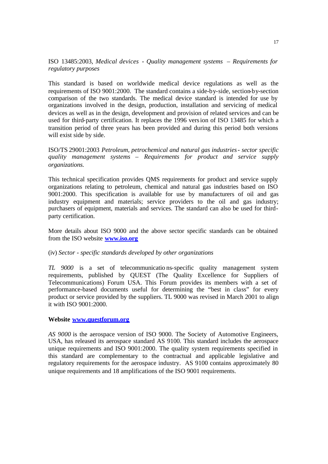#### ISO 13485:2003*, Medical devices - Quality management systems – Requirements for regulatory purposes*

This standard is based on worldwide medical device regulations as well as the requirements of ISO 9001:2000. The standard contains a side-by-side, section-by-section comparison of the two standards. The medical device standard is intended for use by organizations involved in the design, production, installation and servicing of medical devices as well as in the design, development and provision of related services and can be used for third-party certification. It replaces the 1996 version of ISO 13485 for which a transition period of three years has been provided and during this period both versions will exist side by side.

#### ISO/TS 29001:2003 *Petroleum, petrochemical and natural gas industries- sector specific quality management systems – Requirements for product and service supply organizations.*

This technical specification provides QMS requirements for product and service supply organizations relating to petroleum, chemical and natural gas industries based on ISO 9001:2000. This specification is available for use by manufacturers of oil and gas industry equipment and materials; service providers to the oil and gas industry; purchasers of equipment, materials and services. The standard can also be used for thirdparty certification.

More details about ISO 9000 and the above sector specific standards can be obtained from the ISO website **www.iso.org**

#### (iv) *Sector - specific standards developed by other organizations*

*TL 9000* is a set of telecommunicatio ns-specific quality management system requirements, published by QUEST (The Quality Excellence for Suppliers of Telecommunications) Forum USA. This Forum provides its members with a set of performance-based documents useful for determining the "best in class" for every product or service provided by the suppliers. TL 9000 was revised in March 2001 to align it with ISO 9001:2000.

#### **Website www.questforum.org**

*AS 9000* is the aerospace version of ISO 9000. The Society of Automotive Engineers, USA, has released its aerospace standard AS 9100. This standard includes the aerospace unique requirements and ISO 9001:2000. The quality system requirements specified in this standard are complementary to the contractual and applicable legislative and regulatory requirements for the aerospace industry. AS 9100 contains approximately 80 unique requirements and 18 amplifications of the ISO 9001 requirements.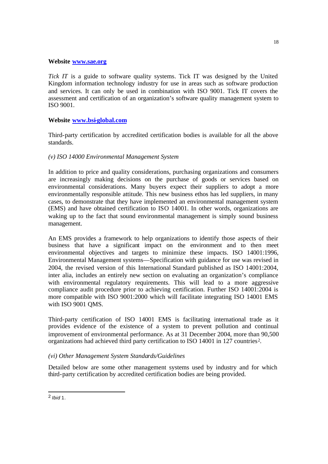#### **Website www.sae.org**

*Tick IT* is a guide to software quality systems. Tick IT was designed by the United Kingdom information technology industry for use in areas such as software production and services. It can only be used in combination with ISO 9001. Tick IT covers the assessment and certification of an organization's software quality management system to ISO 9001.

#### **Website www.bsi-global.com**

Third-party certification by accredited certification bodies is available for all the above standards.

#### *(v) ISO 14000 Environmental Management System*

In addition to price and quality considerations, purchasing organizations and consumers are increasingly making decisions on the purchase of goods or services based on environmental considerations. Many buyers expect their suppliers to adopt a more environmentally responsible attitude. This new business ethos has led suppliers, in many cases, to demonstrate that they have implemented an environmental management system (EMS) and have obtained certification to ISO 14001. In other words, organizations are waking up to the fact that sound environmental management is simply sound business management.

An EMS provides a framework to help organizations to identify those aspects of their business that have a significant impact on the environment and to then meet environmental objectives and targets to minimize these impacts. ISO 14001:1996, Environmental Management systems—Specification with guidance for use was revised in 2004, the revised version of this International Standard published as ISO 14001:2004, inter alia, includes an entirely new section on evaluating an organization's compliance with environmental regulatory requirements. This will lead to a more aggressive compliance audit procedure prior to achieving certification. Further ISO 14001:2004 is more compatible with ISO 9001:2000 which will facilitate integrating ISO 14001 EMS with ISO 9001 QMS.

Third-party certification of ISO 14001 EMS is facilitating international trade as it provides evidence of the existence of a system to prevent pollution and continual improvement of environmental performance. As at 31 December 2004, more than 90,500 organizations had achieved third party certification to ISO 14001 in 127 countries<sup>2</sup>.

#### *(vi) Other Management System Standards/Guidelines*

Detailed below are some other management systems used by industry and for which third-party certification by accredited certification bodies are being provided.

j

<sup>2</sup> *Ibid* 1.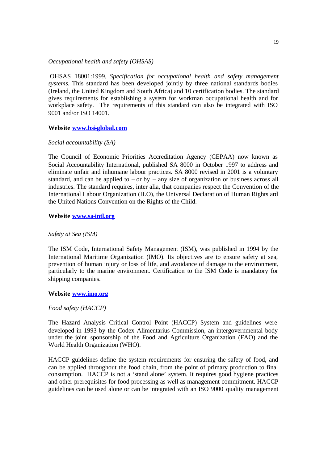#### *Occupational health and safety (OHSAS)*

OHSAS 18001:1999, *Specification for occupational health and safety management systems.* This standard has been developed jointly by three national standards bodies (Ireland, the United Kingdom and South Africa) and 10 certification bodies. The standard gives requirements for establishing a system for workman occupational health and for workplace safety. The requirements of this standard can also be integrated with ISO 9001 and/or ISO 14001.

#### **Website www.bsi-global.com**

#### *Social accountability (SA)*

The Council of Economic Priorities Accreditation Agency (CEPAA) now known as Social Accountability International, published SA 8000 in October 1997 to address and eliminate unfair and inhumane labour practices. SA 8000 revised in 2001 is a voluntary standard, and can be applied to – or by – any size of organization or business across all industries. The standard requires, inter alia, that companies respect the Convention of the International Labour Organization (ILO), the Universal Declaration of Human Rights and the United Nations Convention on the Rights of the Child.

#### **Website www.sa-intl.org**

#### *Safety at Sea (ISM)*

The ISM Code, International Safety Management (ISM), was published in 1994 by the International Maritime Organization (IMO). Its objectives are to ensure safety at sea, prevention of human injury or loss of life, and avoidance of damage to the environment, particularly to the marine environment. Certification to the ISM Code is mandatory for shipping companies.

#### **Website www.imo.org**

#### *Food safety (HACCP)*

The Hazard Analysis Critical Control Point (HACCP) System and guidelines were developed in 1993 by the Codex Alimentarius Commission, an intergovernmental body under the joint sponsorship of the Food and Agriculture Organization (FAO) and the World Health Organization (WHO).

HACCP guidelines define the system requirements for ensuring the safety of food, and can be applied throughout the food chain, from the point of primary production to final consumption. HACCP is not a 'stand alone' system. It requires good hygiene practices and other prerequisites for food processing as well as management commitment. HACCP guidelines can be used alone or can be integrated with an ISO 9000 quality management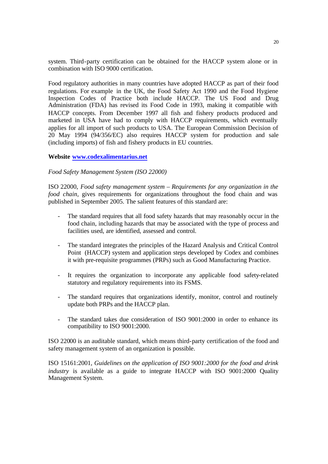system. Third-party certification can be obtained for the HACCP system alone or in combination with ISO 9000 certification.

Food regulatory authorities in many countries have adopted HACCP as part of their food regulations. For example in the UK, the Food Safety Act 1990 and the Food Hygiene Inspection Codes of Practice both include HACCP. The US Food and Drug Administration (FDA) has revised its Food Code in 1993, making it compatible with HACCP concepts. From December 1997 all fish and fishery products produced and marketed in USA have had to comply with HACCP requirements, which eventually applies for all import of such products to USA. The European Commission Decision of 20 May 1994 (94/356/EC) also requires HACCP system for production and sale (including imports) of fish and fishery products in EU countries.

#### **Website www.codexalimentarius.net**

#### *Food Safety Management System (ISO 22000)*

ISO 22000, *Food safety management system – Requirements for any organization in the food chain,* gives requirements for organizations throughout the food chain and was published in September 2005. The salient features of this standard are:

- The standard requires that all food safety hazards that may reasonably occur in the food chain, including hazards that may be associated with the type of process and facilities used, are identified, assessed and control.
- The standard integrates the principles of the Hazard Analysis and Critical Control Point (HACCP) system and application steps developed by Codex and combines it with pre-requisite programmes (PRPs) such as Good Manufacturing Practice.
- It requires the organization to incorporate any applicable food safety-related statutory and regulatory requirements into its FSMS.
- The standard requires that organizations identify, monitor, control and routinely update both PRPs and the HACCP plan.
- The standard takes due consideration of ISO 9001:2000 in order to enhance its compatibility to ISO 9001:2000.

ISO 22000 is an auditable standard, which means third-party certification of the food and safety management system of an organization is possible.

ISO 15161:2001*, Guidelines on the application of ISO 9001:2000 for the food and drink industry* is available as a guide to integrate HACCP with ISO 9001:2000 Quality Management System.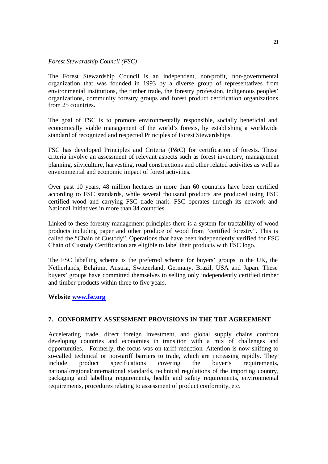#### *Forest Stewardship Council (FSC)*

The Forest Stewardship Council is an independent, non-profit, non-governmental organization that was founded in 1993 by a diverse group of representatives from environmental institutions, the timber trade, the forestry profession, indigenous peoples' organizations, community forestry groups and forest product certification organizations from 25 countries.

The goal of FSC is to promote environmentally responsible, socially beneficial and economically viable management of the world's forests, by establishing a worldwide standard of recognized and respected Principles of Forest Stewardships.

FSC has developed Principles and Criteria (P&C) for certification of forests. These criteria involve an assessment of relevant aspects such as forest inventory, management planning, silviculture, harvesting, road constructions and other related activities as well as environmental and economic impact of forest activities.

Over past 10 years, 48 million hectares in more than 60 countries have been certified according to FSC standards, while several thousand products are produced using FSC certified wood and carrying FSC trade mark. FSC operates through its network and National Initiatives in more than 34 countries.

Linked to these forestry management principles there is a system for tractability of wood products including paper and other produce of wood from "certified forestry". This is called the "Chain of Custody". Operations that have been independently verified for FSC Chain of Custody Certification are eligible to label their products with FSC logo.

The FSC labelling scheme is the preferred scheme for buyers' groups in the UK, the Netherlands, Belgium, Austria, Switzerland, Germany, Brazil, USA and Japan. These buyers' groups have committed themselves to selling only independently certified timber and timber products within three to five years.

#### **Website www.fsc.org**

#### **7. CONFORMITY ASSESSMENT PROVISIONS IN THE TBT AGREEMENT**

Accelerating trade, direct foreign investment, and global supply chains confront developing countries and economies in transition with a mix of challenges and opportunities. Formerly, the focus was on tariff reduction*.* Attention is now shifting to so-called technical or non-tariff barriers to trade, which are increasing rapidly. They include product specifications covering the buyer's requirements, national/regional/international standards, technical regulations of the importing country*,* packaging and labelling requirements, health and safety requirements, environmental requirements, procedures relating to assessment of product conformity, etc.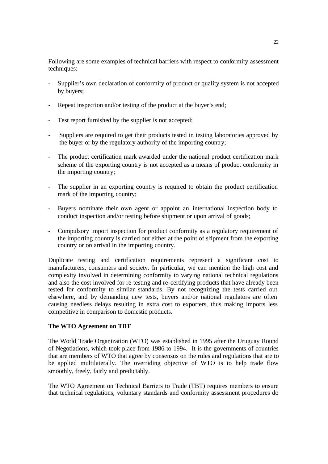Following are some examples of technical barriers with respect to conformity assessment techniques:

- Supplier's own declaration of conformity of product or quality system is not accepted by buyers;
- Repeat inspection and/or testing of the product at the buyer's end;
- Test report furnished by the supplier is not accepted;
- Suppliers are required to get their products tested in testing laboratories approved by the buyer or by the regulatory authority of the importing country;
- The product certification mark awarded under the national product certification mark scheme of the exporting country is not accepted as a means of product conformity in the importing country;
- The supplier in an exporting country is required to obtain the product certification mark of the importing country;
- Buyers nominate their own agent or appoint an international inspection body to conduct inspection and/or testing before shipment or upon arrival of goods;
- Compulsory import inspection for product conformity as a regulatory requirement of the importing country is carried out either at the point of shipment from the exporting country or on arrival in the importing country.

Duplicate testing and certification requirements represent a significant cost to manufacturers, consumers and society. In particular, we can mention the high cost and complexity involved in determining conformity to varying national technical regulations and also the cost involved for re-testing and re-certifying products that have already been tested for conformity to similar standards. By not recognizing the tests carried out elsewhere, and by demanding new tests, buyers and/or national regulators are often causing needless delays resulting in extra cost to exporters, thus making imports less competitive in comparison to domestic products.

#### **The WTO Agreement on TBT**

The World Trade Organization (WTO) was established in 1995 after the Uruguay Round of Negotiations, which took place from 1986 to 1994. It is the governments of countries that are members of WTO that agree by consensus on the rules and regulations that are to be applied multilaterally. The overriding objective of WTO is to help trade flow smoothly, freely, fairly and predictably.

The WTO Agreement on Technical Barriers to Trade (TBT) requires members to ensure that technical regulations, voluntary standards and conformity assessment procedures do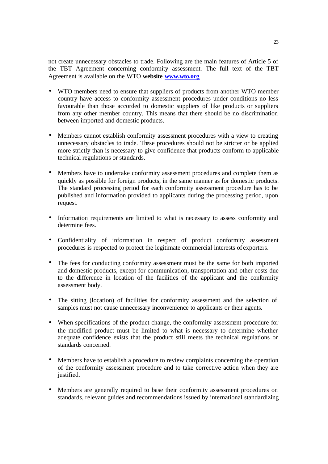not create unnecessary obstacles to trade. Following are the main features of Article 5 of the TBT Agreement concerning conformity assessment. The full text of the TBT Agreement is available on the WTO **website www.wto.org**

- WTO members need to ensure that suppliers of products from another WTO member country have access to conformity assessment procedures under conditions no less favourable than those accorded to domestic suppliers of like products or suppliers from any other member country. This means that there should be no discrimination between imported and domestic products.
- Members cannot establish conformity assessment procedures with a view to creating unnecessary obstacles to trade. These procedures should not be stricter or be applied more strictly than is necessary to give confidence that products conform to applicable technical regulations or standards.
- Members have to undertake conformity assessment procedures and complete them as quickly as possible for foreign products, in the same manner as for domestic products. The standard processing period for each conformity assessment procedure has to be published and information provided to applicants during the processing period, upon request.
- Information requirements are limited to what is necessary to assess conformity and determine fees.
- Confidentiality of information in respect of product conformity assessment procedures is respected to protect the legitimate commercial interests of exporters.
- The fees for conducting conformity assessment must be the same for both imported and domestic products, except for communication, transportation and other costs due to the difference in location of the facilities of the applicant and the conformity assessment body.
- The sitting (location) of facilities for conformity assessment and the selection of samples must not cause unnecessary inconvenience to applicants or their agents.
- When specifications of the product change, the conformity assessment procedure for the modified product must be limited to what is necessary to determine whether adequate confidence exists that the product still meets the technical regulations or standards concerned.
- Members have to establish a procedure to review complaints concerning the operation of the conformity assessment procedure and to take corrective action when they are justified.
- Members are generally required to base their conformity assessment procedures on standards, relevant guides and recommendations issued by international standardizing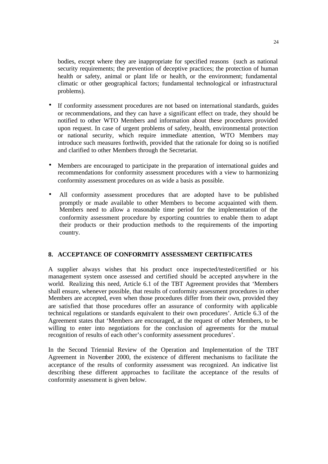bodies, except where they are inappropriate for specified reasons (such as national security requirements; the prevention of deceptive practices; the protection of human health or safety, animal or plant life or health, or the environment; fundamental climatic or other geographical factors; fundamental technological or infrastructural problems).

- If conformity assessment procedures are not based on international standards, guides or recommendations, and they can have a significant effect on trade, they should be notified to other WTO Members and information about these procedures provided upon request. In case of urgent problems of safety, health, environmental protection or national security, which require immediate attention, WTO Members may introduce such measures forthwith, provided that the rationale for doing so is notified and clarified to other Members through the Secretariat.
- Members are encouraged to participate in the preparation of international guides and recommendations for conformity assessment procedures with a view to harmonizing conformity assessment procedures on as wide a basis as possible.
- All conformity assessment procedures that are adopted have to be published promptly or made available to other Members to become acquainted with them. Members need to allow a reasonable time period for the implementation of the conformity assessment procedure by exporting countries to enable them to adapt their products or their production methods to the requirements of the importing country.

#### **8. ACCEPTANCE OF CONFORMITY ASSESSMENT CERTIFICATES**

A supplier always wishes that his product once inspected/tested/certified or his management system once assessed and certified should be accepted anywhere in the world. Realizing this need, Article 6.1 of the TBT Agreement provides that 'Members shall ensure, whenever possible, that results of conformity assessment procedures in other Members are accepted, even when those procedures differ from their own, provided they are satisfied that those procedures offer an assurance of conformity with applicable technical regulations or standards equivalent to their own procedures'. Article 6.3 of the Agreement states that 'Members are encouraged, at the request of other Members, to be willing to enter into negotiations for the conclusion of agreements for the mutual recognition of results of each other's conformity assessment procedures'.

In the Second Triennial Review of the Operation and Implementation of the TBT Agreement in November 2000, the existence of different mechanisms to facilitate the acceptance of the results of conformity assessment was recognized. An indicative list describing these different approaches to facilitate the acceptance of the results of conformity assessment is given below.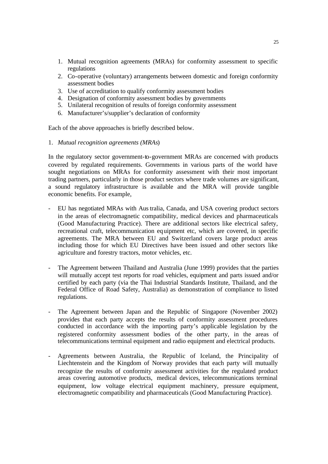- 1. Mutual recognition agreements (MRAs) for conformity assessment to specific regulations
- 2. Co-operative (voluntary) arrangements between domestic and foreign conformity assessment bodies
- 3. Use of accreditation to qualify conformity assessment bodies
- 4. Designation of conformity assessment bodies by governments
- 5. Unilateral recognition of results of foreign conformity assessment
- 6. Manufacturer's/supplier's declaration of conformity

Each of the above approaches is briefly described below.

1. *Mutual recognition agreements (MRAs*)

In the regulatory sector government-to-government MRAs are concerned with products covered by regulated requirements. Governments in various parts of the world have sought negotiations on MRAs for conformity assessment with their most important trading partners, particularly in those product sectors where trade volumes are significant, a sound regulatory infrastructure is available and the MRA will provide tangible economic benefits. For example,

- EU has negotiated MRAs with Australia, Canada, and USA covering product sectors in the areas of electromagnetic compatibility, medical devices and pharmaceuticals (Good Manufacturing Practice). There are additional sectors like electrical safety, recreational craft, telecommunication equipment etc, which are covered, in specific agreements. The MRA between EU and Switzerland covers large product areas including those for which EU Directives have been issued and other sectors like agriculture and forestry tractors, motor vehicles, etc.
- The Agreement between Thailand and Australia (June 1999) provides that the parties will mutually accept test reports for road vehicles, equipment and parts issued and/or certified by each party (via the Thai Industrial Standards Institute, Thailand, and the Federal Office of Road Safety, Australia) as demonstration of compliance to listed regulations.
- The Agreement between Japan and the Republic of Singapore (November 2002) provides that each party accepts the results of conformity assessment procedures conducted in accordance with the importing party's applicable legislation by the registered conformity assessment bodies of the other party, in the areas of telecommunications terminal equipment and radio equipment and electrical products.
- Agreements between Australia, the Republic of Iceland, the Principality of Liechtenstein and the Kingdom of Norway provides that each party will mutually recognize the results of conformity assessment activities for the regulated product areas covering automotive products, medical devices, telecommunications terminal equipment, low voltage electrical equipment machinery, pressure equipment, electromagnetic compatibility and pharmaceuticals (Good Manufacturing Practice).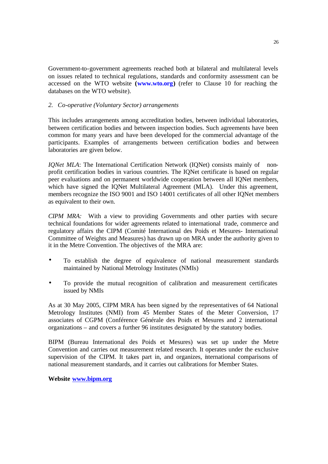Government-to-government agreements reached both at bilateral and multilateral levels on issues related to technical regulations, standards and conformity assessment can be accessed on the WTO website **(www.wto.org)** (refer to Clause 10 for reaching the databases on the WTO website).

#### *2. Co-operative (Voluntary Sector) arrangements*

This includes arrangements among accreditation bodies, between individual laboratories, between certification bodies and between inspection bodies. Such agreements have been common for many years and have been developed for the commercial advantage of the participants. Examples of arrangements between certification bodies and between laboratories are given below.

*IQNet MLA*: The International Certification Network (IQNet) consists mainly of nonprofit certification bodies in various countries. The IQNet certificate is based on regular peer evaluations and on permanent worldwide cooperation between all IQNet members, which have signed the IONet Multilateral Agreement (MLA). Under this agreement, members recognize the ISO 9001 and ISO 14001 certificates of all other IQNet members as equivalent to their own.

*CIPM MRA:* With a view to providing Governments and other parties with secure technical foundations for wider agreements related to international trade, commerce and regulatory affairs the CIPM (Comité International des Poids et Mesures- International Committee of Weights and Measures) has drawn up on MRA under the authority given to it in the Metre Convention. The objectives of the MRA are:

- To establish the degree of equivalence of national measurement standards maintained by National Metrology Institutes (NMIs)
- To provide the mutual recognition of calibration and measurement certificates issued by NMIs

As at 30 May 2005, CIPM MRA has been signed by the representatives of 64 National Metrology Institutes (NMI) from 45 Member States of the Meter Conversion, 17 associates of CGPM (Conférence Générale des Poids et Mesures and 2 international organizations – and covers a further 96 institutes designated by the statutory bodies.

BIPM (Bureau International des Poids et Mesures) was set up under the Metre Convention and carries out measurement related research. It operates under the exclusive supervision of the CIPM. It takes part in, and organizes, international comparisons of national measurement standards, and it carries out calibrations for Member States.

**Website www.bipm.org**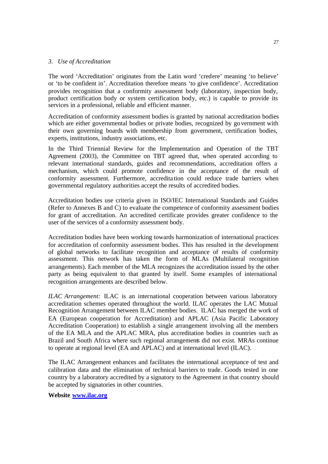#### *3. Use of Accreditation*

The word 'Accreditation' originates from the Latin word 'credere' meaning 'to believe' or 'to be confident in'. Accreditation therefore means 'to give confidence'. Accreditation provides recognition that a conformity assessment body (laboratory, inspection body, product certification body or system certification body, etc.) is capable to provide its services in a professional, reliable and efficient manner.

Accreditation of conformity assessment bodies is granted by national accreditation bodies which are either governmental bodies or private bodies, recognized by go vernment with their own governing boards with membership from government, certification bodies, experts, institutions, industry associations, etc.

In the Third Triennial Review for the Implementation and Operation of the TBT Agreement (2003), the Committee on TBT agreed that, when operated according to relevant international standards, guides and recommendations, accreditation offers a mechanism, which could promote confidence in the acceptance of the result of conformity assessment. Furthermore, accredita tion could reduce trade barriers when governmental regulatory authorities accept the results of accredited bodies.

Accreditation bodies use criteria given in ISO/IEC International Standards and Guides (Refer to Annexes B and C) to evaluate the competence of conformity assessment bodies for grant of accreditation. An accredited certificate provides greater confidence to the user of the services of a conformity assessment body.

Accreditation bodies have been working towards harmonization of international practices for accreditation of conformity assessment bodies. This has resulted in the development of global networks to facilitate recognition and acceptance of results of conformity assessment. This network has taken the form of MLAs (Multilateral recognition arrangements). Each member of the MLA recognizes the accreditation issued by the other party as being equivalent to that granted by itself. Some examples of international recognition arrangements are described below.

*ILAC Arrangement:* ILAC is an international cooperation between various laboratory accreditation schemes operated throughout the world. ILAC operates the LAC Mutual Recognition Arrangement between ILAC member bodies. ILAC has merged the work of EA (European cooperation for Accreditation) and APLAC (Asia Pacific Laboratory Accreditation Cooperation) to establish a single arrangement involving all the members of the EA MLA and the APLAC MRA, plus accreditation bodies in countries such as Brazil and South Africa where such regional arrangements did not exist. MRAs continue to operate at regional level (EA and APLAC) and at international level (ILAC).

The ILAC Arrangement enhances and facilitates the international acceptance of test and calibration data and the elimination of technical barriers to trade. Goods tested in one country by a laboratory accredited by a signatory to the Agreement in that country should be accepted by signatories in other countries.

#### **Website www.ilac.org**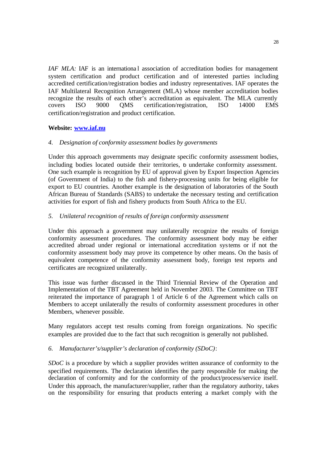*IAF MLA:* IAF is an international association of accreditation bodies for management system certification and product certification and of interested parties including accredited certification/registration bodies and industry representatives. IAF operates the IAF Multilateral Recognition Arrangement (MLA) whose member accreditation bodies recognize the results of each other's accreditation as equivalent. The MLA currently covers ISO 9000 QMS certification/registration, ISO 14000 EMS certification/registration and product certification.

#### **Website: www.iaf.nu**

#### *4. Designation of conformity assessment bodies by governments*

Under this approach governments may designate specific conformity assessment bodies, including bodies located outside their territories, to undertake conformity assessment. One such example is recognition by EU of approval given by Export Inspection Agencies (of Government of India) to the fish and fishery-processing units for being eligible for export to EU countries. Another example is the designation of laboratories of the South African Bureau of Standards (SABS) to undertake the necessary testing and certification activities for export of fish and fishery products from South Africa to the EU.

#### *5. Unilateral recognition of results of foreign conformity assessment*

Under this approach a government may unilaterally recognize the results of foreign conformity assessment procedures. The conformity assessment body may be either accredited abroad under regional or international accreditation systems or if not the conformity assessment body may prove its competence by other means. On the basis of equivalent competence of the conformity assessment body, foreign test reports and certificates are recognized unilaterally.

This issue was further discussed in the Third Triennial Review of the Operation and Implementation of the TBT Agreement held in November 2003. The Committee on TBT reiterated the importance of paragraph 1 of Article 6 of the Agreement which calls on Members to accept unilaterally the results of conformity assessment procedures in other Members, whenever possible.

Many regulators accept test results coming from foreign organizations. No specific examples are provided due to the fact that such recognition is generally not published.

#### *6. Manufacturer's/supplier's declaration of conformity (SDoC)*:

*SDoC* is a procedure by which a supplier provides written assurance of conformity to the specified requirements. The declaration identifies the party responsible for making the declaration of conformity and for the conformity of the product/process/service itself. Under this approach, the manufacturer/supplier, rather than the regulatory authority, takes on the responsibility for ensuring that products entering a market comply with the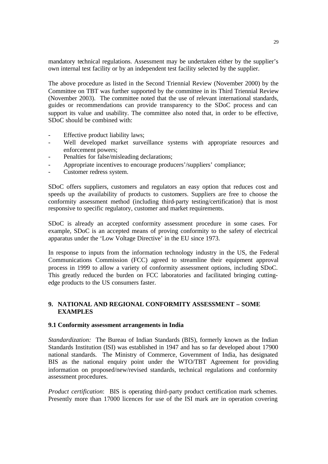mandatory technical regulations. Assessment may be undertaken either by the supplier's own internal test facility or by an independent test facility selected by the supplier.

The above procedure as listed in the Second Triennial Review (November 2000) by the Committee on TBT was further supported by the committee in its Third Triennial Review (November 2003). The committee noted that the use of relevant international standards, guides or recommendations can provide transparency to the SDoC process and can support its value and usability. The committee also noted that, in order to be effective, SDoC should be combined with:

- Effective product liability laws;
- Well developed market surveillance systems with appropriate resources and enforcement powers;
- Penalties for false/misleading declarations;
- Appropriate incentives to encourage producers'/suppliers' compliance;
- Customer redress system.

SDoC offers suppliers, customers and regulators an easy option that reduces cost and speeds up the availability of products to customers. Suppliers are free to choose the conformity assessment method (including third-party testing/certification) that is most responsive to specific regulatory, customer and market requirements.

SDoC is already an accepted conformity assessment procedure in some cases. For example, SDoC is an accepted means of proving conformity to the safety of electrical apparatus under the 'Low Voltage Directive' in the EU since 1973.

In response to inputs from the information technology industry in the US, the Federal Communications Commission (FCC) agreed to streamline their equipment approval process in 1999 to allow a variety of conformity assessment options, including SDoC. This greatly reduced the burden on FCC laboratories and facilitated bringing cuttingedge products to the US consumers faster.

#### **9. NATIONAL AND REGIONAL CONFORMITY ASSESSMENT – SOME EXAMPLES**

#### **9.1 Conformity assessment arrangements in India**

*Standardization:* The Bureau of Indian Standards (BIS), formerly known as the Indian Standards Institution (ISI) was established in 1947 and has so far developed about 17900 national standards. The Ministry of Commerce, Government of India, has designated BIS as the national enquiry point under the WTO/TBT Agreement for providing information on proposed/new/revised standards, technical regulations and conformity assessment procedures.

*Product certification*: BIS is operating third-party product certification mark schemes. Presently more than 17000 licences for use of the ISI mark are in operation covering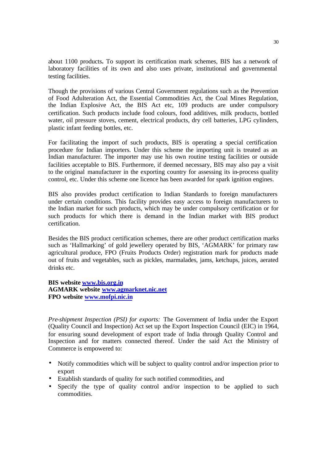about 1100 products**.** To support its certification mark schemes, BIS has a network of laboratory facilities of its own and also uses private, institutional and governmental testing facilities.

Though the provisions of various Central Government regulations such as the Prevention of Food Adulteration Act, the Essential Commodities Act, the Coal Mines Regulation, the Indian Explosive Act, the BIS Act etc, 109 products are under compulsory certification. Such products include food colours, food additives, milk products, bottled water, oil pressure stoves, cement, electrical products, dry cell batteries, LPG cylinders, plastic infant feeding bottles, etc.

For facilitating the import of such products, BIS is operating a special certification procedure for Indian importers. Under this scheme the importing unit is treated as an Indian manufacturer. The importer may use his own routine testing facilities or outside facilities acceptable to BIS. Furthermore, if deemed necessary, BIS may also pay a visit to the original manufacturer in the exporting country for assessing its in-process quality control, etc. Under this scheme one licence has been awarded for spark ignition engines.

BIS also provides product certification to Indian Standards to foreign manufacturers under certain conditions. This facility provides easy access to foreign manufacturers to the Indian market for such products, which may be under compulsory certification or for such products for which there is demand in the Indian market with BIS product certification.

Besides the BIS product certification schemes, there are other product certification marks such as 'Hallmarking' of gold jewellery operated by BIS, 'AGMARK' for primary raw agricultural produce, FPO (Fruits Products Order) registration mark for products made out of fruits and vegetables, such as pickles, marmalades, jams, ketchups, juices, aerated drinks etc.

#### **BIS website www.bis.org.in AGMARK website www.agmarknet.nic.net FPO website www.mofpi.nic.in**

*Pre-shipment Inspection (PSI) for exports:* The Government of India under the Export (Quality Council and Inspection) Act set up the Export Inspection Council (EIC) in 1964, for ensuring sound development of export trade of India through Quality Control and Inspection and for matters connected thereof. Under the said Act the Ministry of Commerce is empowered to:

- Notify commodities which will be subject to quality control and/or inspection prior to export
- Establish standards of quality for such notified commodities, and
- Specify the type of quality control and/or inspection to be applied to such commodities.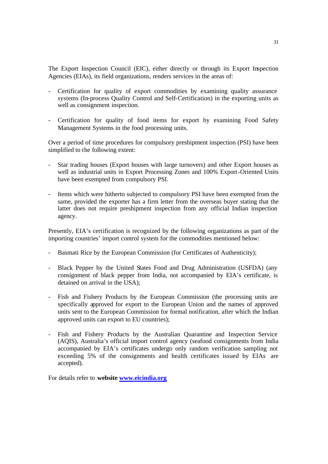The Export Inspection Council (EIC), either directly or through its Export Inspection Agencies (EIAs), its field organizations, renders services in the areas of:

- Certification for quality of export commodities by examining quality assurance systems (In-process Quality Control and Self-Certification) in the exporting units as well as consignment inspection.
- Certification for quality of food items for export by examining Food Safety Management Systems in the food processing units.

Over a period of time procedures for compulsory preshipment inspection (PSI) have been simplified to the following extent:

- Star trading houses (Export houses with large turnovers) and other Export houses as well as industrial units in Export Processing Zones and 100% Export-Oriented Units have been exempted from compulsory PSI.
- Items which were hitherto subjected to compulsory PSI have been exempted from the same, provided the exporter has a firm letter from the overseas buyer stating that the latter does not require preshipment inspection from any official Indian inspection agency.

Presently, EIA's certification is recognized by the following organizations as part of the importing countries' import control system for the commodities mentioned below:

- Basmati Rice by the European Commission (for Certificates of Authenticity);
- Black Pepper by the United States Food and Drug Administration (USFDA) (any consignment of black pepper from India, not accompanied by EIA's certificate, is detained on arrival in the USA);
- Fish and Fishery Products by the European Commission (the processing units are specifically approved for export to the European Union and the names of approved units sent to the European Commission for formal notification, after which the Indian approved units can export to EU countries);
- Fish and Fishery Products by the Australian Quarantine and Inspection Service (AQIS), Australia's official import control agency (seafood consignments from India accompanied by EIA's certificates undergo only random verification sampling not exceeding 5% of the consignments and health certificates issued by EIAs are accepted).

For details refer to **website www.eicindia.org**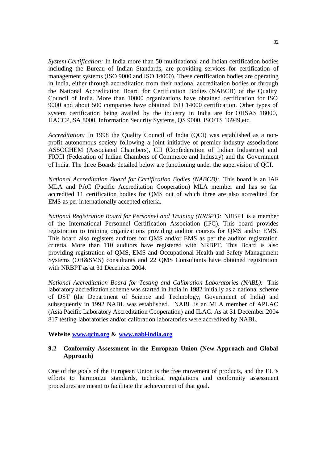*System Certification:* In India more than 50 multinational and Indian certification bodies including the Bureau of Indian Standards, are providing services for certification of management systems (ISO 9000 and ISO 14000). These certification bodies are operating in India, either through accreditation from their national accreditation bodies or through the National Accreditation Board for Certification Bodies (NABCB) of the Quality Council of India. More than 10000 organizations have obtained certification for ISO 9000 and about 500 companies have obtained ISO 14000 certification. Other types of system certification being availed by the industry in India are for OHSAS 18000, HACCP, SA 8000, Information Security Systems, QS 9000, ISO/TS 16949,etc.

*Accreditation:* In 1998 the Quality Council of India (QCI) was established as a nonprofit autonomous society following a joint initiative of premier industry associa tions ASSOCHEM (Associated Chambers), CII (Confederation of Indian Industries) and FICCI (Federation of Indian Chambers of Commerce and Industry) and the Government of India. The three Boards detailed below are functioning under the supervision of QCI.

*National Accreditation Board for Certification Bodies (NABCB):* This board is an IAF MLA and PAC (Pacific Accreditation Cooperation) MLA member and has so far accredited 11 certification bodies for QMS out of which three are also accredited for EMS as per internationally accepted criteria.

*National Registration Board for Personnel and Training (NRBPT):* NRBPT is a member of the International Personnel Certification Association (IPC). This board provides registration to training organizations providing auditor courses for QMS and/or EMS. This board also registers auditors for QMS and/or EMS as per the auditor registration criteria. More than 110 auditors have registered with NRBPT. This Board is also providing registration of QMS, EMS and Occupational Health and Safety Management Systems (OH&SMS) consultants and 22 QMS Consultants have obtained registration with NRBPT as at 31 December 2004.

*National Accreditation Board for Testing and Calibration Laboratories (NABL):* This laboratory accreditation scheme was started in India in 1982 initially as a national scheme of DST (the Department of Science and Technology, Government of India) and subsequently in 1992 NABL was established. NABL is an MLA member of APLAC (Asia Pacific Laboratory Accreditation Cooperation) and ILAC. As at 31 December 2004 817 testing laboratories and/or calibration laboratories were accredited by NABL*.* 

**Website www.qcin.org & www.nabl-india.org**

#### **9.2 Conformity Assessment in the European Union (New Approach and Global Approach)**

One of the goals of the European Union is the free movement of products, and the EU's efforts to harmonize standards, technical regulations and conformity assessment procedures are meant to facilitate the achievement of that goal.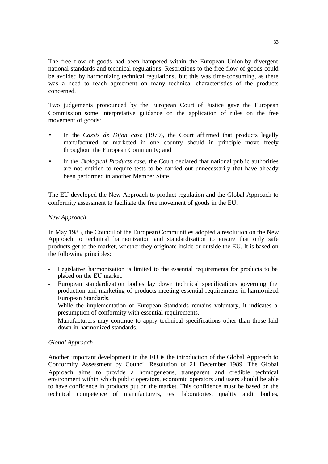The free flow of goods had been hampered within the European Union by divergent national standards and technical regulations. Restrictions to the free flow of goods could be avoided by harmonizing technical regulations, but this was time-consuming, as there was a need to reach agreement on many technical characteristics of the products concerned.

Two judgements pronounced by the European Court of Justice gave the European Commission some interpretative guidance on the application of rules on the free movement of goods:

- In the *Cassis de Dijon case* (1979), the Court affirmed that products legally manufactured or marketed in one country should in principle move freely throughout the European Community; and
- In the *Biological Products case,* the Court declared that national public authorities are not entitled to require tests to be carried out unnecessarily that have already been performed in another Member State.

The EU developed the New Approach to product regulation and the Global Approach to conformity assessment to facilitate the free movement of goods in the EU.

#### *New Approach*

In May 1985, the Council of the European Communities adopted a resolution on the New Approach to technical harmonization and standardization to ensure that only safe products get to the market, whether they originate inside or outside the EU. It is based on the following principles:

- Legislative harmonization is limited to the essential requirements for products to be placed on the EU market.
- European standardization bodies lay down technical specifications governing the production and marketing of products meeting essential requirements in harmo nized European Standards.
- While the implementation of European Standards remains voluntary, it indicates a presumption of conformity with essential requirements.
- Manufacturers may continue to apply technical specifications other than those laid down in harmonized standards.

#### *Global Approach*

Another important development in the EU is the introduction of the Global Approach to Conformity Assessment by Council Resolution of 21 December 1989. The Global Approach aims to provide a homogeneous, transparent and credible technical environment within which public operators, economic operators and users should be able to have confidence in products put on the market. This confidence must be based on the technical competence of manufacturers, test laboratories, quality audit bodies,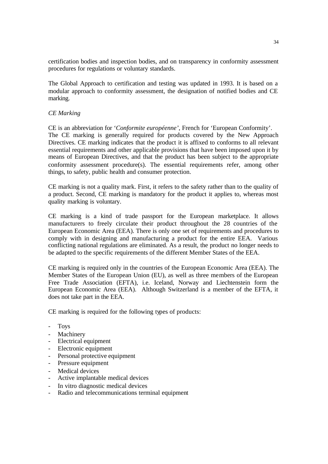certification bodies and inspection bodies, and on transparency in conformity assessment procedures for regulations or voluntary standards.

The Global Approach to certification and testing was updated in 1993. It is based on a modular approach to conformity assessment, the designation of notified bodies and CE marking.

#### *CE Marking*

CE is an abbreviation for '*Conformite européenne'*, French for 'European Conformity'. The CE marking is generally required for products covered by the New Approach Directives. CE marking indicates that the product it is affixed to conforms to all relevant essential requirements and other applicable provisions that have been imposed upon it by means of European Directives, and that the product has been subject to the appropriate conformity assessment procedure(s). The essential requirements refer, among other things, to safety, public health and consumer protection.

CE marking is not a quality mark. First, it refers to the safety rather than to the quality of a product. Second, CE marking is mandatory for the product it applies to, whereas most quality marking is voluntary.

CE marking is a kind of trade passport for the European marketplace. It allows manufacturers to freely circulate their product throughout the 28 countries of the European Economic Area (EEA). There is only one set of requirements and procedures to comply with in designing and manufacturing a product for the entire EEA. Various conflicting national regulations are eliminated. As a result, the product no longer needs to be adapted to the specific requirements of the different Member States of the EEA.

CE marking is required only in the countries of the European Economic Area (EEA). The Member States of the European Union (EU), as well as three members of the European Free Trade Association (EFTA), i.e. Iceland, Norway and Liechtenstein form the European Economic Area (EEA). Although Switzerland is a member of the EFTA, it does not take part in the EEA.

CE marking is required for the following types of products:

- Toys
- **Machinery**
- Electrical equipment
- Electronic equipment
- Personal protective equipment
- Pressure equipment
- Medical devices
- Active implantable medical devices
- In vitro diagnostic medical devices
- Radio and telecommunications terminal equipment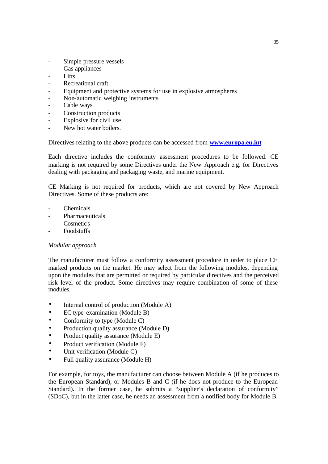- Simple pressure vessels
- Gas appliances
- Lifts
- Recreational craft
- Equipment and protective systems for use in explosive atmospheres
- Non-automatic weighing instruments
- Cable ways
- Construction products
- Explosive for civil use
- New hot water boilers.

Directives relating to the above products can be accessed from **www.europa.eu.int**

Each directive includes the conformity assessment procedures to be followed. CE marking is not required by some Directives under the New Approach e.g. for Directives dealing with packaging and packaging waste, and marine equipment.

CE Marking is not required for products, which are not covered by New Approach Directives. Some of these products are:

- **Chemicals**
- **Pharmaceuticals**
- Cosmetic<sub>s</sub>
- Foodstuffs

#### *Modular approach*

The manufacturer must follow a conformity assessment procedure in order to place CE marked products on the market. He may select from the following modules, depending upon the modules that are permitted or required by particular directives and the perceived risk level of the product. Some directives may require combination of some of these modules.

- Internal control of production (Module A)
- EC type-examination (Module B)
- Conformity to type (Module C)
- Production quality assurance (Module D)
- Product quality assurance (Module E)
- Product verification (Module F)
- Unit verification (Module G)
- Full quality assurance (Module H)

For example, for toys, the manufacturer can choose between Module A (if he produces to the European Standard), or Modules B and C (if he does not produce to the European Standard). In the former case, he submits a "supplier's declaration of conformity" (SDoC), but in the latter case, he needs an assessment from a notified body for Module B.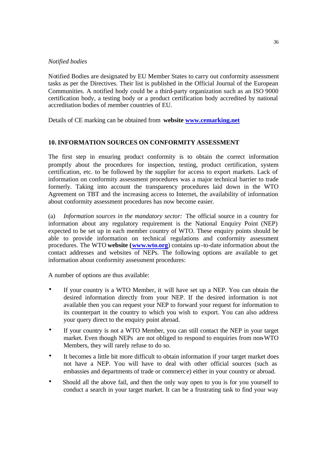#### *Notified bodies*

Notified Bodies are designated by EU Member States to carry out conformity assessment tasks as per the Directives. Their list is published in the Official Journal of the European Communities. A notified body could be a third-party organization such as an ISO 9000 certification body, a testing body or a product certification body accredited by national accreditation bodies of member countries of EU.

Details of CE marking can be obtained from **website www.cemarking.net**

#### **10. INFORMATION SOURCES ON CONFORMITY ASSESSMENT**

The first step in ensuring product conformity is to obtain the correct information promptly about the procedures for inspection, testing, product certification, system certification, etc. to be followed by the supplier for access to export markets. Lack of information on conformity assessment procedures was a major technical barrier to trade formerly. Taking into account the transparency procedures laid down in the WTO Agreement on TBT and the increasing access to Internet, the availability of information about conformity assessment procedures has now become easier.

(a) *Information sources in the mandatory sector:* The official source in a country for information about any regulatory requirement is the National Enquiry Point (NEP) expected to be set up in each member country of WTO. These enquiry points should be able to provide information on technical regulations and conformity assessment procedures. The WTO **website (www.wto.org**) contains up-to-date information about the contact addresses and websites of NEPs. The following options are available to get information about conformity assessment procedures:

A number of options are thus available:

- If your country is a WTO Member, it will have set up a NEP. You can obtain the desired information directly from your NEP. If the desired information is not available then you can request your NEP to forward your request for information to its counterpart in the country to which you wish to export. You can also address your query direct to the enquiry point abroad.
- If your country is not a WTO Member, you can still contact the NEP in your target market. Even though NEPs are not obliged to respond to enquiries from non-WTO Members, they will rarely refuse to do so.
- It becomes a little bit more difficult to obtain information if your target market does not have a NEP. You will have to deal with other official sources (such as embassies and departments of trade or commerc e) either in your country or abroad.
- Should all the above fail, and then the only way open to you is for you yourself to conduct a search in your target market. It can be a frustrating task to find your way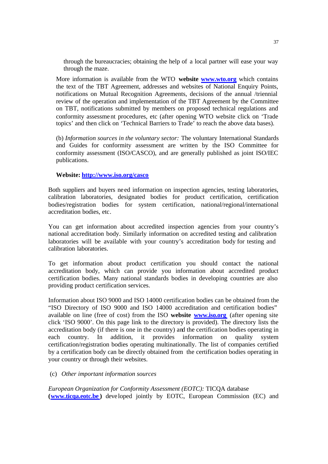through the bureaucracies; obtaining the help of a local partner will ease your way through the maze.

More information is available from the WTO **website www.wto.org** which contains the text of the TBT Agreement, addresses and websites of National Enquiry Points, notifications on Mutual Recognition Agreements, decisions of the annual /triennial review of the operation and implementation of the TBT Agreement by the Committee on TBT, notifications submitted by members on proposed technical regulations and conformity assessment procedures, etc (after opening WTO website click on 'Trade topics' and then click on 'Technical Barriers to Trade' to reach the above data bases).

(b) *Information sources in the voluntary sector:* The voluntary International Standards and Guides for conformity assessment are written by the ISO Committee for conformity assessment (ISO/CASCO), and are generally published as joint ISO/IEC publications.

#### **Website: http://www.iso.org/casco**

Both suppliers and buyers ne ed information on inspection agencies, testing laboratories, calibration laboratories, designated bodies for product certification, certification bodies/registration bodies for system certification, national/regional/international accreditation bodies, etc.

You can get information about accredited inspection agencies from your country's national accreditation body. Similarly information on accredited testing and calibration laboratories will be available with your country's accreditation body for testing and calibration laboratories.

To get information about product certification you should contact the national accreditation body, which can provide you information about accredited product certification bodies. Many national standards bodies in developing countries are also providing product certification services.

Information about ISO 9000 and ISO 14000 certification bodies can be obtained from the "ISO Directory of ISO 9000 and ISO 14000 accreditation and certification bodies" available on line (free of cost) from the ISO **website www.iso.org** (after opening site click 'ISO 9000'. On this page link to the directory is provided). The directory lists the accreditation body (if there is one in the country) and the certification bodies operating in each country. In addition, it provides information on quality system certification/registration bodies operating multinationally. The list of companies certified by a certification body can be directly obtained from the certification bodies operating in your country or through their websites.

#### (c) *Other important information sources*

*European Organization for Conformity Assessment (EOTC):* TICQA database **(www.ticqa.eotc.be)** developed jointly by EOTC, European Commission (EC) and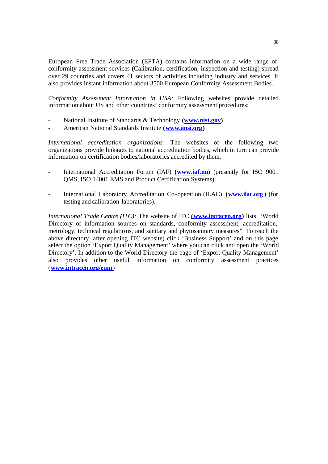European Free Trade Association (EFTA) contains information on a wide range of conformity assessment services (Calibration, certification, inspection and testing) spread over 29 countries and covers 41 sectors of activities including industry and services. It also provides instant information about 3500 European Conformity Assessment Bodies.

*Conformity Assessment Information in USA:* Following websites provide detailed information about US and other countries' conformity assessment procedures:

- National Institute of Standards & Technology **(www.nist.gov)**
- American National Standards Institute **(www.ansi.org)**

*International accreditation organizations*: The websites of the following two organizations provide linkages to national accreditation bodies, which in turn can provide information on certification bodies/laboratories accredited by them.

- International Accreditation Forum (IAF) **(www.iaf.nu**) (presently for ISO 9001 QMS, ISO 14001 EMS and Product Certification Systems).
- International Laboratory Accreditation Co-operation (ILAC) **(www.ilac.org** ) (for testing and calibration laboratories).

*International Trade Centre (ITC):* The website of ITC **(www.intracen.org)** lists 'World Directory of information sources on standards, conformity assessment, accreditation, metrology, technical regulations, and sanitary and phytosanitary measures". To reach the above directory, after opening ITC website) click 'Business Support' and on this page select the option 'Export Quality Management' where you can click and open the 'World Directory'. In addition to the World Directory the page of 'Export Quality Management' also provides other useful information on conformity assessment practices (**www.intracen.org/eqm**)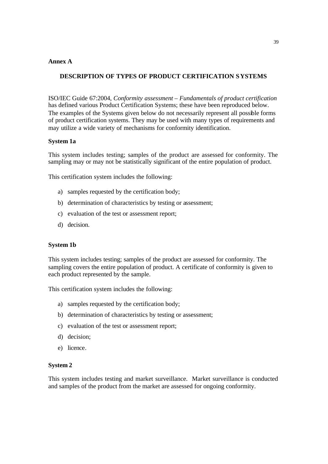#### **Annex A**

#### **DESCRIPTION OF TYPES OF PRODUCT CERTIFICATION SYSTEMS**

ISO/IEC Guide 67:2004, *Conformity assessment – Fundamentals of product certification*  has defined various Product Certification Systems; these have been reproduced below. The examples of the Systems given below do not necessarily represent all possible forms of product certification systems. They may be used with many types of requirements and may utilize a wide variety of mechanisms for conformity identification.

#### **System 1a**

This system includes testing; samples of the product are assessed for conformity. The sampling may or may not be statistically significant of the entire population of product.

This certification system includes the following:

- a) samples requested by the certification body;
- b) determination of characteristics by testing or assessment;
- c) evaluation of the test or assessment report;
- d) decision.

#### **System 1b**

This system includes testing; samples of the product are assessed for conformity. The sampling covers the entire population of product. A certificate of conformity is given to each product represented by the sample.

This certification system includes the following:

- a) samples requested by the certification body;
- b) determination of characteristics by testing or assessment;
- c) evaluation of the test or assessment report;
- d) decision;
- e) licence.

#### **System 2**

This system includes testing and market surveillance. Market surveillance is conducted and samples of the product from the market are assessed for ongoing conformity.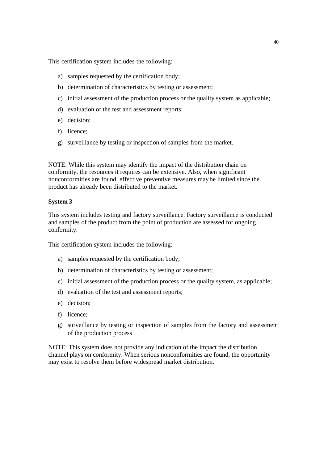This certification system includes the following:

- a) samples requested by the certification body;
- b) determination of characteristics by testing or assessment;
- c) initial assessment of the production process or the quality system as applicable;
- d) evaluation of the test and assessment reports;
- e) decision;
- f) licence;
- g) surveillance by testing or inspection of samples from the market.

NOTE: While this system may identify the impact of the distribution chain on conformity, the resources it requires can be extensive. Also, when significant nonconformities are found, effective preventive measures may be limited since the product has already been distributed to the market.

#### **System 3**

This system includes testing and factory surveillance. Factory surveillance is conducted and samples of the product from the point of production are assessed for ongoing conformity.

This certification system includes the following:

- a) samples requested by the certification body;
- b) determination of characteristics by testing or assessment;
- c) initial assessment of the production process or the quality system, as applicable;
- d) evaluation of the test and assessment reports;
- e) decision;
- f) licence;
- g) surveillance by testing or inspection of samples from the factory and assessment of the production process

NOTE: This system does not provide any indication of the impact the distribution channel plays on conformity. When serious nonconformities are found, the opportunity may exist to resolve them before widespread market distribution.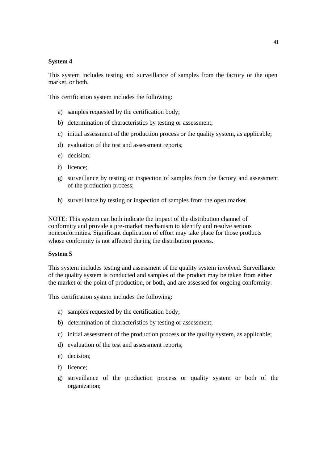#### **System 4**

This system includes testing and surveillance of samples from the factory or the open market, or both.

This certification system includes the following:

- a) samples requested by the certification body;
- b) determination of characteristics by testing or assessment;
- c) initial assessment of the production process or the quality system, as applicable;
- d) evaluation of the test and assessment reports;
- e) decision;
- f) licence;
- g) surveillance by testing or inspection of samples from the factory and assessment of the production process;
- h) surveillance by testing or inspection of samples from the open market.

NOTE: This system can both indicate the impact of the distribution channel of conformity and provide a pre-market mechanism to identify and resolve serious nonconformities. Significant duplication of effort may take place for those products whose conformity is not affected during the distribution process.

#### **System 5**

This system includes testing and assessment of the quality system involved. Surveillance of the quality system is conducted and samples of the product may be taken from either the market or the point of production, or both, and are assessed for ongoing conformity.

This certification system includes the following:

- a) samples requested by the certification body;
- b) determination of characteristics by testing or assessment;
- c) initial assessment of the production process or the quality system, as applicable;
- d) evaluation of the test and assessment reports;
- e) decision;
- f) licence;
- g) surveillance of the production process or quality system or both of the organization;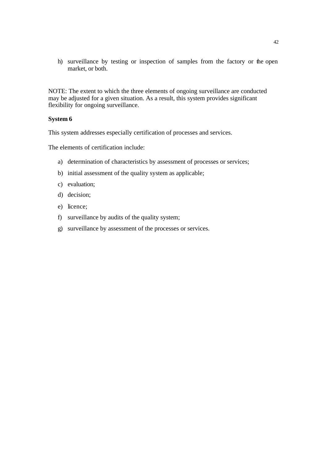h) surveillance by testing or inspection of samples from the factory or the open market, or both.

NOTE: The extent to which the three elements of ongoing surveillance are conducted may be adjusted for a given situation. As a result, this system provides significant flexibility for ongoing surveillance.

#### **System 6**

This system addresses especially certification of processes and services.

The elements of certification include:

- a) determination of characteristics by assessment of processes or services;
- b) initial assessment of the quality system as applicable;
- c) evaluation;
- d) decision;
- e) licence;
- f) surveillance by audits of the quality system;
- g) surveillance by assessment of the processes or services.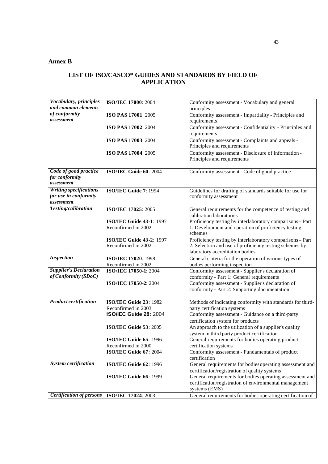#### **Annex B**

#### **LIST OF ISO/CASCO\* GUIDES AND STANDARDS BY FIELD OF APPLICATION**

| Vocabulary, principles          | ISO/IEC 17000: 2004             | Conformity assessment - Vocabulary and general                                     |  |
|---------------------------------|---------------------------------|------------------------------------------------------------------------------------|--|
| and common elements             |                                 | principles                                                                         |  |
| of conformity                   | ISO PAS 17001: 2005             | Conformity assessment - Impartiality - Principles and                              |  |
| assessment                      |                                 | requirements                                                                       |  |
|                                 | ISO PAS 17002: 2004             | Conformity assessment - Confidentiality - Principles and                           |  |
|                                 |                                 | requirements                                                                       |  |
|                                 | ISO PAS 17003: 2004             | Conformity assessment - Complaints and appeals -                                   |  |
|                                 |                                 | Principles and requirements                                                        |  |
|                                 | ISO PAS 17004: 2005             | Conformity assessment - Disclosure of information -                                |  |
|                                 |                                 | Principles and requirements                                                        |  |
| Code of good practice           | ISO/IEC Guide 60: 2004          |                                                                                    |  |
| for conformity                  |                                 | Conformity assessment - Code of good practice                                      |  |
| assessment                      |                                 |                                                                                    |  |
| <b>Writing specifications</b>   | ISO/IEC Guide 7: 1994           |                                                                                    |  |
| for use in conformity           |                                 | Guidelines for drafting of standards suitable for use for<br>conformity assessment |  |
| assessment                      |                                 |                                                                                    |  |
| Testing/calibration             | ISO/IEC 17025: 2005             | General requirements for the competence of testing and                             |  |
|                                 |                                 | calibration laboratories                                                           |  |
|                                 | <b>ISO/IEC Guide 43-1: 1997</b> | Proficiency testing by interlaboratory comparisons- Part                           |  |
|                                 | Reconfirmed in 2002             | 1: Development and operation of proficiency testing                                |  |
|                                 |                                 | schemes                                                                            |  |
|                                 | <b>ISO/IEC Guide 43-2: 1997</b> | Proficiency testing by interlaboratory comparisons- Part                           |  |
|                                 | Reconfirmed in 2002             | 2: Selection and use of proficiency testing schemes by                             |  |
|                                 |                                 | laboratory accreditation bodies                                                    |  |
| <b>Inspection</b>               | ISO/IEC 17020: 1998             | General criteria for the operation of various types of                             |  |
|                                 | Reconfirmed in 2002             | bodies performing inspection                                                       |  |
| <b>Supplier's Declaration</b>   | ISO/IEC 17050-1: 2004           | Conformity assessment - Supplier's declaration of                                  |  |
| of Conformity (SDoC)            |                                 | conformity - Part 1: General requirements                                          |  |
|                                 | ISO/IEC 17050-2: 2004           | Conformity assessment - Supplier's declaration of                                  |  |
|                                 |                                 | conformity - Part 2: Supporting documentation                                      |  |
|                                 |                                 |                                                                                    |  |
| <b>Product certification</b>    | ISO/IEC Guide 23: 1982          | Methods of indicating conformity with standards for third-                         |  |
|                                 | Reconfirmed in 2003             | party certification systems                                                        |  |
|                                 | <b>ISO/IEC Guide 28: 2004</b>   | Conformity assessment - Guidance on a third-party                                  |  |
|                                 |                                 | certification system for products                                                  |  |
|                                 | ISO/IEC Guide 53: 2005          | An approach to the utilization of a supplier's quality                             |  |
|                                 |                                 | system in third party product certification                                        |  |
|                                 | ISO/IEC Guide 65: 1996          | General requirements for bodies operating product                                  |  |
|                                 | Reconfirmed in 2000             | certification systems                                                              |  |
|                                 | ISO/IEC Guide 67: 2004          | Conformity assessment - Fundamentals of product                                    |  |
|                                 |                                 | certification                                                                      |  |
| <b>System certification</b>     | ISO/IEC Guide 62: 1996          | General requirements for bodies operating assessment and                           |  |
|                                 |                                 | certification/registration of quality systems                                      |  |
|                                 | ISO/IEC Guide 66: 1999          | General requirements for bodies operating assessment and                           |  |
|                                 |                                 | certification/registration of environmental management<br>systems (EMS)            |  |
| <b>Certification of persons</b> |                                 |                                                                                    |  |
|                                 | ISO/IEC 17024: 2003             | General requirements for bodies operating certification of                         |  |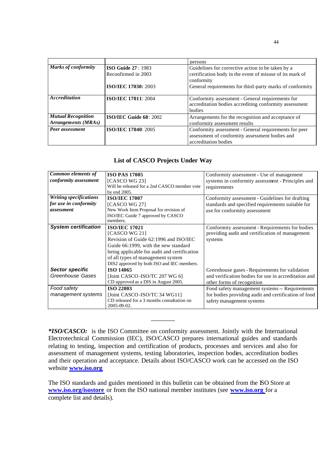|                                                  |                                                                                                                                                                                 | persons                                                                                                                         |  |
|--------------------------------------------------|---------------------------------------------------------------------------------------------------------------------------------------------------------------------------------|---------------------------------------------------------------------------------------------------------------------------------|--|
| <b>Marks of conformity</b>                       | <b>ISO Guide 27: 1983</b><br>Guidelines for corrective action to be taken by a<br>certification body in the event of misuse of its mark of<br>Reconfirmed in 2003<br>conformity |                                                                                                                                 |  |
|                                                  | <b>ISO/IEC 17030: 2003</b>                                                                                                                                                      | General requirements for third-party marks of conformity                                                                        |  |
| <i><u><b>Accreditation</b></u></i>               | <b>ISO/IEC 17011: 2004</b>                                                                                                                                                      | Conformity assessment - General requirements for<br>accreditation bodies accrediting conformity assessment<br>bodies            |  |
| <b>Mutual Recognition</b><br>Arrangements (MRAs) | ISO/IEC Guide 68: 2002                                                                                                                                                          | Arrangements for the recognition and acceptance of<br>conformity assessment results                                             |  |
| Peer assessment                                  | <b>ISO/IEC 17040: 2005</b>                                                                                                                                                      | Conformity assessment - General requirements for peer<br>assessment of conformity assessment bodies and<br>accreditation bodies |  |

#### **List of CASCO Projects Under Way**

| Common elements of            | <b>ISO PAS 17005</b>                         | Conformity assessment - Use of management            |  |
|-------------------------------|----------------------------------------------|------------------------------------------------------|--|
| conformity assessment         | [CASCO WG 23]                                | systems in conformity assessment - Principles and    |  |
|                               | Will be released for a 2nd CASCO member vote | requirements                                         |  |
|                               | by end 2005.                                 |                                                      |  |
| <b>Writing specifications</b> | <b>ISO/IEC 17007</b>                         | Conformity assessment - Guidelines for drafting      |  |
| for use in conformity         | [CASCO WG 27]                                | standards and specified requirements suitable for    |  |
| assessment                    | New Work Item Proposal for revision of       | use for conformity assessment                        |  |
|                               | ISO/IEC Guide 7 approved by CASCO            |                                                      |  |
|                               | members.                                     |                                                      |  |
| <b>System certification</b>   | <b>ISO/IEC 17021</b>                         | Conformity assessment - Requirements for bodies      |  |
|                               | [CASCO WG 21]                                | providing audit and certification of management      |  |
|                               | Revision of Guide 62:1996 and ISO/IEC        | systems                                              |  |
|                               | Guide 66:1999, with the new standard         |                                                      |  |
|                               | being applicable for audit and certification |                                                      |  |
|                               | of all types of management system            |                                                      |  |
|                               | DIS2 approved by both ISO and IEC members.   |                                                      |  |
| <b>Sector specific</b>        | <b>ISO 14065</b>                             | Greenhouse gases - Requirements for validation       |  |
| Greenhouse Gases              | [Joint CASCO-ISO/TC 207 WG 6]                | and verification bodies for use in accreditation and |  |
|                               | CD approved as a DIS in August 2005.         | other forms of recognition                           |  |
| Food safety                   | <b>ISO 22003</b>                             | Food safety management systems -- Requirements       |  |
| management systems            | [Joint CASCO-ISO/TC 34 WG11]                 | for bodies providing audit and certification of food |  |
|                               | CD released for a 3 months consultation on   | safety management systems                            |  |
|                               | 2005-09-02.                                  |                                                      |  |

*\*ISO/CASCO:* is the ISO Committee on conformity assessment. Jointly with the International Electrotechnical Commission (IEC), ISO/CASCO prepares international guides and standards relating to testing, inspection and certification of products, processes and services and also for assessment of management systems, testing laboratories, inspection bodies, accreditation bodies and their operation and acceptance. Details about ISO/CASCO work can be accessed on the ISO website **www.iso.org**

**\_\_\_\_\_\_\_\_\_**

The ISO standards and guides mentioned in this bulletin can be obtained from the ISO Store at **www.iso.org/isostore** or from the ISO national member institutes (see **www.iso.org** for a complete list and details).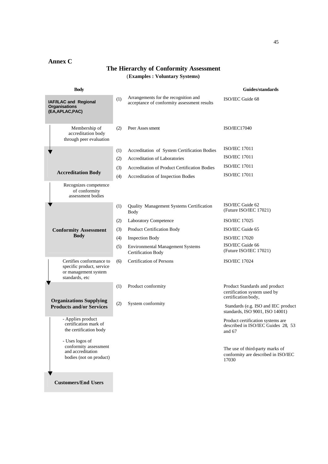#### **Annex C**

#### **The Hierarchy of Conformity Assessment** (**Examples : Voluntary Systems)**

| <b>Body</b>                                                                                     |     |                                                                                     | Guides/standards                                                                     |
|-------------------------------------------------------------------------------------------------|-----|-------------------------------------------------------------------------------------|--------------------------------------------------------------------------------------|
| IAF/ILAC and Regional<br><b>Organisations</b><br>(EA, APLAC, PAC)                               | (1) | Arrangements for the recognition and<br>acceptance of conformity assessment results | ISO/IEC Guide 68                                                                     |
| Membership of<br>accreditation body<br>through peer evaluation                                  | (2) | Peer Asses sment                                                                    | <b>ISO/IEC17040</b>                                                                  |
|                                                                                                 | (1) | Accreditation of System Certification Bodies                                        | <b>ISO/IEC 17011</b>                                                                 |
|                                                                                                 | (2) | Accreditation of Laboratories                                                       | <b>ISO/IEC 17011</b>                                                                 |
|                                                                                                 | (3) | Accreditation of Product Certification Bodies                                       | <b>ISO/IEC 17011</b>                                                                 |
| <b>Accreditation Body</b>                                                                       | (4) | Accreditation of Inspection Bodies                                                  | <b>ISO/IEC 17011</b>                                                                 |
| Recognizes competence<br>of conformity<br>assessment bodies                                     |     |                                                                                     |                                                                                      |
|                                                                                                 | (1) | Quality Management Systems Certification<br><b>Body</b>                             | ISO/IEC Guide 62<br>(Future ISO/IEC 17021)                                           |
|                                                                                                 | (2) | <b>Laboratory Competence</b>                                                        | <b>ISO/IEC 17025</b>                                                                 |
| <b>Conformity Assessment</b>                                                                    | (3) | Product Certification Body                                                          | ISO/IEC Guide 65                                                                     |
| <b>Body</b>                                                                                     | (4) | <b>Inspection Body</b>                                                              | <b>ISO/IEC 17020</b>                                                                 |
|                                                                                                 | (5) | <b>Environmental Management Systems</b><br><b>Certification Body</b>                | ISO/IEC Guide 66<br>(Future ISO/IEC 17021)                                           |
| Certifies conformance to<br>specific product, service<br>or management system<br>standards, etc | (6) | <b>Certification of Persons</b>                                                     | <b>ISO/IEC 17024</b>                                                                 |
| <b>Organizations Supplying</b>                                                                  | (1) | Product conformity                                                                  | Product Standards and product<br>certification system used by<br>certification body, |
| <b>Products and/or Services</b>                                                                 | (2) | System conformity                                                                   | Standards (e.g. ISO and IEC product<br>standards, ISO 9001, ISO 14001)               |
| - Applies product<br>certification mark of<br>the certification body                            |     |                                                                                     | Product certification systems are<br>described in ISO/IEC Guides 28, 53<br>and 67    |
| - Uses logos of<br>conformity assessment<br>and accreditation<br>bodies (not on product)        |     |                                                                                     | The use of third-party marks of<br>conformity are described in ISO/IEC<br>17030      |
| <b>Customers/End Users</b>                                                                      |     |                                                                                     |                                                                                      |